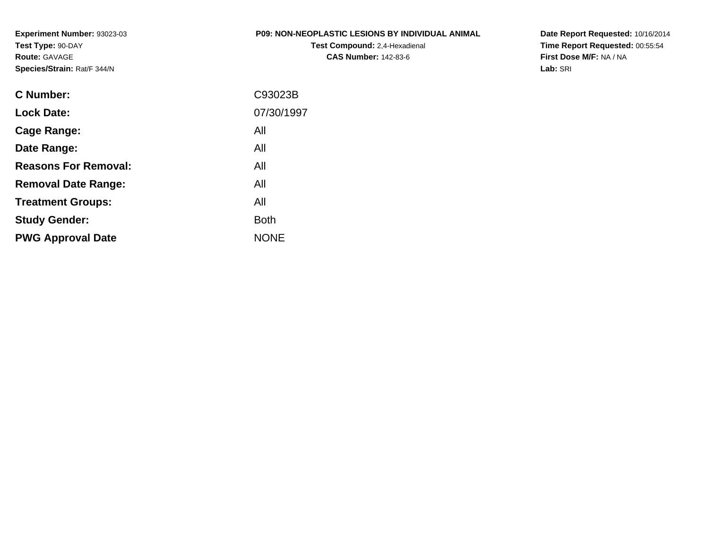**Experiment Number:** 93023-03**Test Type:** 90-DAY**Route:** GAVAGE**Species/Strain:** Rat/F 344/N

#### **P09: NON-NEOPLASTIC LESIONS BY INDIVIDUAL ANIMAL**

**Test Compound:** 2,4-Hexadienal **CAS Number:** 142-83-6

**Date Report Requested:** 10/16/2014 **Time Report Requested:** 00:55:54**First Dose M/F:** NA / NA**Lab:** SRI

| C93023B     |
|-------------|
| 07/30/1997  |
| All         |
| All         |
| All         |
| All         |
| All         |
| <b>Both</b> |
| <b>NONE</b> |
|             |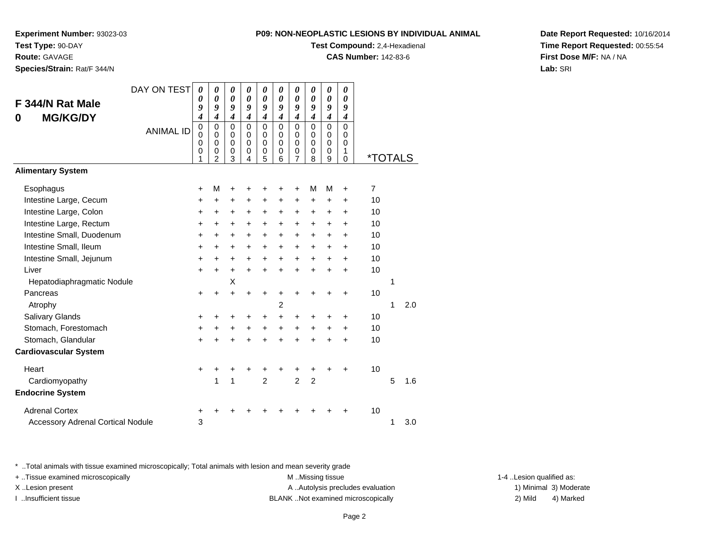**Route:** GAVAGE

**Species/Strain:** Rat/F 344/N

#### **P09: NON-NEOPLASTIC LESIONS BY INDIVIDUAL ANIMAL**

**Test Compound:** 2,4-Hexadienal

**CAS Number:** 142-83-6

**Date Report Requested:** 10/16/2014**Time Report Requested:** 00:55:54**First Dose M/F:** NA / NA**Lab:** SRI

|                                          | DAY ON TEST      | $\boldsymbol{\theta}$                             | 0                                                                | 0                                                   | 0                                                   | 0                                                   | $\boldsymbol{\theta}$                               | 0                                                   | 0                                                 | 0                                                   | 0                                         |                       |   |     |
|------------------------------------------|------------------|---------------------------------------------------|------------------------------------------------------------------|-----------------------------------------------------|-----------------------------------------------------|-----------------------------------------------------|-----------------------------------------------------|-----------------------------------------------------|---------------------------------------------------|-----------------------------------------------------|-------------------------------------------|-----------------------|---|-----|
| F 344/N Rat Male                         |                  | 0<br>9                                            | 0<br>9                                                           | $\boldsymbol{\theta}$<br>9                          | $\boldsymbol{\theta}$<br>9                          | $\boldsymbol{\theta}$<br>9                          | $\boldsymbol{\theta}$<br>9                          | 0<br>9                                              | 0<br>9                                            | $\boldsymbol{\theta}$<br>9                          | $\boldsymbol{\theta}$<br>9                |                       |   |     |
| <b>MG/KG/DY</b><br>0                     |                  | $\overline{\boldsymbol{4}}$                       | $\boldsymbol{4}$                                                 | 4                                                   | $\overline{\boldsymbol{4}}$                         | $\overline{\boldsymbol{4}}$                         | $\boldsymbol{4}$                                    | $\overline{\boldsymbol{4}}$                         | $\boldsymbol{4}$                                  | $\overline{4}$                                      | $\boldsymbol{4}$                          |                       |   |     |
|                                          | <b>ANIMAL ID</b> | $\pmb{0}$<br>$\mathbf 0$<br>$\mathbf 0$<br>0<br>1 | $\mathbf 0$<br>$\mathbf 0$<br>$\mathbf 0$<br>0<br>$\overline{2}$ | $\mathbf 0$<br>$\mathbf 0$<br>$\mathbf 0$<br>0<br>3 | $\mathbf 0$<br>$\mathbf 0$<br>$\mathbf 0$<br>0<br>4 | $\mathbf 0$<br>$\mathbf 0$<br>$\mathbf 0$<br>0<br>5 | $\mathbf 0$<br>$\mathbf 0$<br>$\mathbf 0$<br>0<br>6 | $\mathbf 0$<br>$\mathbf 0$<br>$\mathbf 0$<br>0<br>7 | $\mathbf 0$<br>$\mathbf 0$<br>$\pmb{0}$<br>0<br>8 | $\mathbf 0$<br>$\mathbf 0$<br>$\mathbf 0$<br>0<br>9 | $\mathbf 0$<br>$\mathbf 0$<br>0<br>1<br>0 | <i><b>*TOTALS</b></i> |   |     |
| <b>Alimentary System</b>                 |                  |                                                   |                                                                  |                                                     |                                                     |                                                     |                                                     |                                                     |                                                   |                                                     |                                           |                       |   |     |
| Esophagus                                |                  | $\ddot{}$                                         | M                                                                | +                                                   | +                                                   | +                                                   | +                                                   | +                                                   | м                                                 | М                                                   | $\ddot{}$                                 | $\overline{7}$        |   |     |
| Intestine Large, Cecum                   |                  | $\ddot{}$                                         | $\ddot{}$                                                        | $\ddot{}$                                           | $\ddot{}$                                           | $\ddot{}$                                           | $\ddot{}$                                           | $\ddot{}$                                           | $\ddot{}$                                         | $\ddot{}$                                           | $\ddot{}$                                 | 10                    |   |     |
| Intestine Large, Colon                   |                  | $\ddot{}$                                         | $\ddot{}$                                                        | +                                                   | $\ddot{}$                                           | $\ddot{}$                                           | +                                                   | +                                                   | +                                                 | +                                                   | $\pm$                                     | 10                    |   |     |
| Intestine Large, Rectum                  |                  | $\ddot{}$                                         | $\ddot{}$                                                        | $\ddot{}$                                           | +                                                   | $\ddot{}$                                           | $\ddot{}$                                           | $\ddot{}$                                           | $\ddot{}$                                         | $\ddot{}$                                           | $\ddot{}$                                 | 10                    |   |     |
| Intestine Small, Duodenum                |                  | $\ddot{}$                                         | $\ddot{}$                                                        | $\ddot{}$                                           | $\ddot{}$                                           | +                                                   | $\ddot{}$                                           | $\ddot{}$                                           | $\ddot{}$                                         | $\ddot{}$                                           | $+$                                       | 10                    |   |     |
| Intestine Small, Ileum                   |                  | $\ddot{}$                                         | $\ddot{}$                                                        | +                                                   | $\ddot{}$                                           | +                                                   | $\ddot{}$                                           | $\ddot{}$                                           | $\ddot{}$                                         | +                                                   | $\pm$                                     | 10                    |   |     |
| Intestine Small, Jejunum                 |                  | $\ddot{}$                                         | $\ddot{}$                                                        | $\ddot{}$                                           | $\ddot{}$                                           | $\ddot{}$                                           | $\ddot{}$                                           | $\ddot{}$                                           | $\ddot{}$                                         | $\ddot{}$                                           | $\ddot{}$                                 | 10                    |   |     |
| Liver                                    |                  | $\ddot{}$                                         | $\ddot{}$                                                        | $\ddot{}$                                           | $+$                                                 | $\ddot{}$                                           | $\ddot{}$                                           | $\ddot{}$                                           | $\ddot{}$                                         | $\ddot{}$                                           | $+$                                       | 10                    |   |     |
| Hepatodiaphragmatic Nodule               |                  |                                                   |                                                                  | X                                                   |                                                     |                                                     |                                                     |                                                     |                                                   |                                                     |                                           |                       | 1 |     |
| Pancreas                                 |                  | $\ddot{}$                                         | $\ddot{}$                                                        | $\ddot{}$                                           | $\ddot{}$                                           | $\ddot{}$                                           | +                                                   | +                                                   | +                                                 | +                                                   | $\ddot{}$                                 | 10                    |   |     |
| Atrophy                                  |                  |                                                   |                                                                  |                                                     |                                                     |                                                     | $\overline{c}$                                      |                                                     |                                                   |                                                     |                                           |                       | 1 | 2.0 |
| Salivary Glands                          |                  | +                                                 | +                                                                | +                                                   | +                                                   | +                                                   | +                                                   | +                                                   | +                                                 | +                                                   | $\ddot{}$                                 | 10                    |   |     |
| Stomach, Forestomach                     |                  | $\ddot{}$                                         | $\ddot{}$                                                        | $\ddot{}$                                           | $\ddot{}$                                           | $\ddot{}$                                           | $\ddot{}$                                           | +                                                   | $\ddot{}$                                         | $\ddot{}$                                           | $\ddot{}$                                 | 10                    |   |     |
| Stomach, Glandular                       |                  | $\ddot{}$                                         | $\ddot{}$                                                        | $\ddot{}$                                           | $\ddot{}$                                           | $\ddot{}$                                           | $\ddot{}$                                           | $\ddot{}$                                           | $\ddot{}$                                         | $\ddot{}$                                           | $\ddot{}$                                 | 10                    |   |     |
| <b>Cardiovascular System</b>             |                  |                                                   |                                                                  |                                                     |                                                     |                                                     |                                                     |                                                     |                                                   |                                                     |                                           |                       |   |     |
| Heart                                    |                  | $\ddot{}$                                         |                                                                  | +                                                   | +                                                   | +                                                   |                                                     |                                                     | +                                                 |                                                     | +                                         | 10                    |   |     |
| Cardiomyopathy                           |                  |                                                   | 1                                                                | 1                                                   |                                                     | $\overline{2}$                                      |                                                     | $\overline{2}$                                      | $\overline{2}$                                    |                                                     |                                           |                       | 5 | 1.6 |
| <b>Endocrine System</b>                  |                  |                                                   |                                                                  |                                                     |                                                     |                                                     |                                                     |                                                     |                                                   |                                                     |                                           |                       |   |     |
| <b>Adrenal Cortex</b>                    |                  | $\pm$                                             |                                                                  |                                                     |                                                     |                                                     |                                                     |                                                     |                                                   |                                                     | +                                         | 10                    |   |     |
| <b>Accessory Adrenal Cortical Nodule</b> |                  | 3                                                 |                                                                  |                                                     |                                                     |                                                     |                                                     |                                                     |                                                   |                                                     |                                           |                       | 1 | 3.0 |

\* ..Total animals with tissue examined microscopically; Total animals with lesion and mean severity grade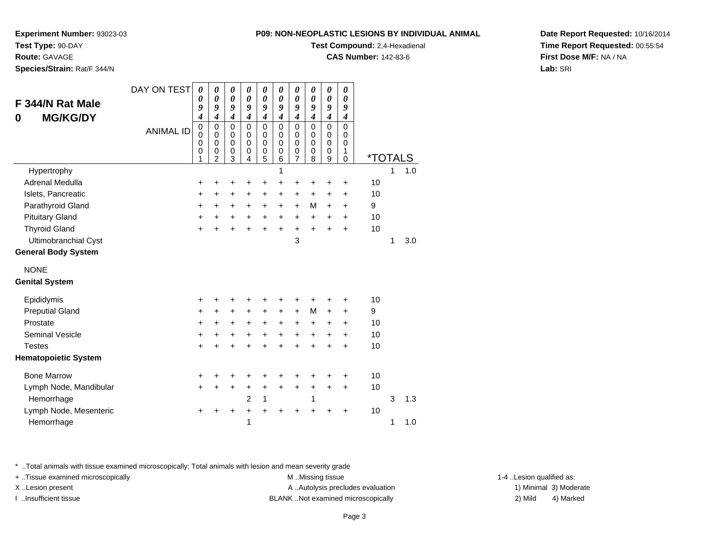**Test Compound:** 2,4-Hexadienal

*00*

**CAS Number:** 142-83-6

**Date Report Requested:** 10/16/2014**Time Report Requested:** 00:55:54**First Dose M/F:** NA / NA**Lab:** SRI

\* ..Total animals with tissue examined microscopically; Total animals with lesion and mean severity grade

+ ..Tissue examined microscopically examined microscopically examined as:  $M$  ..Missing tissue 1-4 ..Lesion qualified as:

X..Lesion present **A ..Autolysis precludes evaluation** A ..Autolysis precludes evaluation 1) Minimal 3) Moderate

I ..Insufficient tissue BLANK ..Not examined microscopically 2) Mild 4) Marked

| F 344/N Rat Male<br><b>MG/KG/DY</b><br>0 | DAY ON TEST<br><b>ANIMAL ID</b> | 0<br>0<br>9<br>$\boldsymbol{4}$<br>0 | 0<br>0<br>9<br>$\overline{\boldsymbol{4}}$<br>$\mathbf 0$ | 0<br>0<br>9<br>$\overline{\boldsymbol{4}}$<br>$\mathbf 0$ | 0<br>0<br>9<br>$\boldsymbol{4}$<br>$\mathbf 0$ | 0<br>0<br>9<br>4<br>$\mathbf 0$      | 0<br>0<br>9<br>$\boldsymbol{4}$<br>$\mathbf 0$ | 0<br>0<br>9<br>$\boldsymbol{4}$<br>$\mathbf 0$ | 0<br>0<br>9<br>$\boldsymbol{4}$<br>$\mathbf 0$ | 0<br>$\boldsymbol{\theta}$<br>9<br>$\boldsymbol{4}$<br>$\Omega$ | $\boldsymbol{\theta}$<br>$\boldsymbol{\theta}$<br>9<br>$\boldsymbol{4}$<br>$\mathbf 0$ |                       |   |     |  |
|------------------------------------------|---------------------------------|--------------------------------------|-----------------------------------------------------------|-----------------------------------------------------------|------------------------------------------------|--------------------------------------|------------------------------------------------|------------------------------------------------|------------------------------------------------|-----------------------------------------------------------------|----------------------------------------------------------------------------------------|-----------------------|---|-----|--|
|                                          |                                 | 0<br>0<br>0<br>1                     | $\mathbf 0$<br>0<br>0<br>2                                | $\mathbf 0$<br>$\mathbf 0$<br>$\mathbf 0$<br>3            | $\mathbf 0$<br>$\mathbf 0$<br>$\mathbf 0$<br>4 | 0<br>$\mathbf 0$<br>$\mathbf 0$<br>5 | 0<br>$\mathbf 0$<br>$\Omega$<br>6              | 0<br>$\mathbf 0$<br>$\mathbf 0$<br>7           | 0<br>$\mathbf 0$<br>$\mathbf 0$<br>8           | $\mathbf 0$<br>0<br>$\mathbf 0$<br>9                            | 0<br>0<br>1<br>$\mathbf 0$                                                             | <i><b>*TOTALS</b></i> |   |     |  |
| Hypertrophy                              |                                 |                                      |                                                           |                                                           |                                                |                                      | 1                                              |                                                |                                                |                                                                 |                                                                                        |                       | 1 | 1.0 |  |
| <b>Adrenal Medulla</b>                   |                                 | +                                    |                                                           |                                                           | +                                              | +                                    | +                                              | $\ddot{}$                                      | +                                              | +                                                               | +                                                                                      | 10                    |   |     |  |
| Islets, Pancreatic                       |                                 | +                                    | +                                                         | $\pm$                                                     | $\pm$                                          | +                                    | +                                              | $\pm$                                          | +                                              | +                                                               | +                                                                                      | 10                    |   |     |  |
| Parathyroid Gland                        |                                 | +                                    | +                                                         | $\pm$                                                     | $\ddot{}$                                      | +                                    | +                                              | $\ddot{}$                                      | M                                              | $\ddot{}$                                                       | $\ddot{}$                                                                              | 9                     |   |     |  |
| <b>Pituitary Gland</b>                   |                                 | +                                    | $\ddot{}$                                                 | $\ddot{}$                                                 | $+$                                            | +                                    | $\ddot{}$                                      | $\ddot{}$                                      | $\ddot{}$                                      | +                                                               | $\ddot{}$                                                                              | 10                    |   |     |  |
| <b>Thyroid Gland</b>                     |                                 | $\ddot{}$                            |                                                           |                                                           | $\ddot{}$                                      | $\ddot{}$                            | $\ddot{}$                                      | $\ddot{}$                                      | $\ddot{}$                                      | $\ddot{}$                                                       | $\ddot{}$                                                                              | 10                    |   |     |  |
| Ultimobranchial Cyst                     |                                 |                                      |                                                           |                                                           |                                                |                                      |                                                | 3                                              |                                                |                                                                 |                                                                                        |                       | 1 | 3.0 |  |
| <b>General Body System</b>               |                                 |                                      |                                                           |                                                           |                                                |                                      |                                                |                                                |                                                |                                                                 |                                                                                        |                       |   |     |  |
| <b>NONE</b>                              |                                 |                                      |                                                           |                                                           |                                                |                                      |                                                |                                                |                                                |                                                                 |                                                                                        |                       |   |     |  |
| <b>Genital System</b>                    |                                 |                                      |                                                           |                                                           |                                                |                                      |                                                |                                                |                                                |                                                                 |                                                                                        |                       |   |     |  |
| Epididymis                               |                                 | +                                    |                                                           |                                                           | +                                              | +                                    | +                                              | +                                              | +                                              | +                                                               | +                                                                                      | 10                    |   |     |  |
| <b>Preputial Gland</b>                   |                                 | +                                    | $\ddot{}$                                                 | $\ddot{}$                                                 | $\ddot{}$                                      | $\ddot{}$                            | $\ddot{}$                                      | $\ddot{}$                                      | M                                              | $\ddot{}$                                                       | $\ddot{}$                                                                              | 9                     |   |     |  |
| Prostate                                 |                                 | $\ddot{}$                            | +                                                         | $\ddot{}$                                                 | +                                              | $\ddot{}$                            | +                                              | +                                              | +                                              | +                                                               | +                                                                                      | 10                    |   |     |  |
| <b>Seminal Vesicle</b>                   |                                 | +                                    | +                                                         | $\ddot{}$                                                 | $\ddot{}$                                      | $\ddot{}$                            | $\ddot{}$                                      | $+$                                            | $\ddot{}$                                      | +                                                               | $\ddot{}$                                                                              | 10                    |   |     |  |
| <b>Testes</b>                            |                                 | $\ddot{}$                            |                                                           | +                                                         | $\ddot{}$                                      | +                                    | +                                              | +                                              | $\ddot{}$                                      | +                                                               | +                                                                                      | 10                    |   |     |  |
| <b>Hematopoietic System</b>              |                                 |                                      |                                                           |                                                           |                                                |                                      |                                                |                                                |                                                |                                                                 |                                                                                        |                       |   |     |  |
| <b>Bone Marrow</b>                       |                                 | +                                    |                                                           |                                                           |                                                | +                                    | +                                              | +                                              | +                                              | +                                                               | +                                                                                      | 10                    |   |     |  |
| Lymph Node, Mandibular                   |                                 | $\ddot{}$                            | +                                                         | +                                                         | +                                              | $\ddot{}$                            | $\ddot{}$                                      | $\ddot{}$                                      | +                                              | $\ddot{}$                                                       | $\ddot{}$                                                                              | 10                    |   |     |  |
| Hemorrhage                               |                                 |                                      |                                                           |                                                           | $\overline{2}$                                 | 1                                    |                                                |                                                | 1                                              |                                                                 |                                                                                        |                       | 3 | 1.3 |  |
| Lymph Node, Mesenteric                   |                                 | +                                    |                                                           |                                                           | +                                              | $\ddot{}$                            | $\ddot{}$                                      | ÷                                              | +                                              |                                                                 | $\ddot{}$                                                                              | 10                    |   |     |  |
| Hemorrhage                               |                                 |                                      |                                                           |                                                           | 1                                              |                                      |                                                |                                                |                                                |                                                                 |                                                                                        |                       | 1 | 1.0 |  |
|                                          |                                 |                                      |                                                           |                                                           |                                                |                                      |                                                |                                                |                                                |                                                                 |                                                                                        |                       |   |     |  |

# **Experiment Number:** 93023-03**Test Type:** 90-DAY

**Route:** GAVAGE

**Species/Strain:** Rat/F 344/N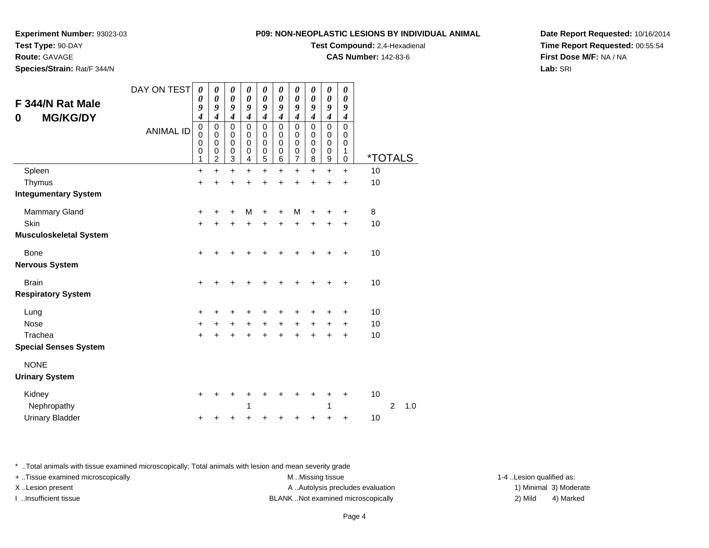**Test Type:** 90-DAY

# **Route:** GAVAGE

**Species/Strain:** Rat/F 344/N

#### **P09: NON-NEOPLASTIC LESIONS BY INDIVIDUAL ANIMAL**

**Test Compound:** 2,4-Hexadienal

**CAS Number:** 142-83-6

**Date Report Requested:** 10/16/2014**Time Report Requested:** 00:55:54**First Dose M/F:** NA / NA**Lab:** SRI

| F 344/N Rat Male              | DAY ON TEST      | $\boldsymbol{\theta}$<br>$\boldsymbol{\theta}$              | 0<br>$\pmb{\theta}$                                    | 0<br>$\pmb{\theta}$                                                      | 0<br>$\boldsymbol{\theta}$                | 0<br>$\boldsymbol{\theta}$                     | $\boldsymbol{\theta}$<br>$\pmb{\theta}$   | $\boldsymbol{\theta}$<br>$\boldsymbol{\theta}$ | 0<br>$\boldsymbol{\theta}$                | 0<br>$\boldsymbol{\theta}$                                                 | $\boldsymbol{\theta}$<br>$\boldsymbol{\theta}$ |                       |                |     |
|-------------------------------|------------------|-------------------------------------------------------------|--------------------------------------------------------|--------------------------------------------------------------------------|-------------------------------------------|------------------------------------------------|-------------------------------------------|------------------------------------------------|-------------------------------------------|----------------------------------------------------------------------------|------------------------------------------------|-----------------------|----------------|-----|
| <b>MG/KG/DY</b>               |                  | 9<br>$\boldsymbol{4}$                                       | 9<br>$\overline{\boldsymbol{4}}$                       | 9<br>$\boldsymbol{4}$                                                    | 9<br>$\overline{\boldsymbol{4}}$          | 9<br>$\overline{\boldsymbol{4}}$               | 9<br>$\overline{4}$                       | 9<br>$\boldsymbol{4}$                          | 9<br>$\boldsymbol{4}$                     | 9<br>4                                                                     | 9<br>$\boldsymbol{4}$                          |                       |                |     |
| 0                             | <b>ANIMAL ID</b> | $\pmb{0}$<br>$\mathbf 0$<br>$\mathbf 0$<br>$\mathbf 0$<br>1 | $\mathbf 0$<br>$\mathbf 0$<br>0<br>0<br>$\overline{2}$ | $\mathsf 0$<br>$\mathbf 0$<br>$\pmb{0}$<br>$\mathbf 0$<br>$\overline{3}$ | $\mathbf 0$<br>0<br>$\mathbf 0$<br>0<br>4 | 0<br>$\mathbf 0$<br>0<br>$\boldsymbol{0}$<br>5 | $\mathbf 0$<br>0<br>$\mathbf 0$<br>0<br>6 | $\mathbf 0$<br>0<br>$\mathbf 0$<br>0<br>7      | $\mathbf 0$<br>0<br>$\mathbf 0$<br>0<br>8 | $\mathbf 0$<br>$\mathbf 0$<br>$\mathbf 0$<br>$\pmb{0}$<br>$\boldsymbol{9}$ | $\mathbf 0$<br>0<br>$\mathbf 0$<br>1<br>0      | <i><b>*TOTALS</b></i> |                |     |
| Spleen                        |                  | $\ddot{}$                                                   | $\ddot{}$                                              | $+$                                                                      | $\ddot{}$                                 | $\ddot{}$                                      | $\ddot{}$                                 | $\ddot{}$                                      | $\ddot{}$                                 | $\ddot{}$                                                                  | $\ddot{}$                                      | 10                    |                |     |
| Thymus                        |                  | $\ddot{}$                                                   | $\ddot{}$                                              | $\ddot{}$                                                                | +                                         | +                                              |                                           | +                                              | +                                         | +                                                                          | $\ddot{}$                                      | 10                    |                |     |
| <b>Integumentary System</b>   |                  |                                                             |                                                        |                                                                          |                                           |                                                |                                           |                                                |                                           |                                                                            |                                                |                       |                |     |
| <b>Mammary Gland</b>          |                  | $\ddot{}$                                                   |                                                        | +                                                                        | M                                         | +                                              | +                                         | M                                              |                                           |                                                                            | ٠                                              | 8                     |                |     |
| Skin                          |                  | $\ddot{}$                                                   | +                                                      | +                                                                        | +                                         | +                                              | +                                         | +                                              | $\div$                                    | $\pm$                                                                      | $\ddot{}$                                      | 10                    |                |     |
| <b>Musculoskeletal System</b> |                  |                                                             |                                                        |                                                                          |                                           |                                                |                                           |                                                |                                           |                                                                            |                                                |                       |                |     |
| Bone                          |                  | +                                                           |                                                        |                                                                          |                                           |                                                |                                           |                                                |                                           |                                                                            | ٠                                              | 10                    |                |     |
| <b>Nervous System</b>         |                  |                                                             |                                                        |                                                                          |                                           |                                                |                                           |                                                |                                           |                                                                            |                                                |                       |                |     |
| <b>Brain</b>                  |                  | $\ddot{}$                                                   |                                                        | +                                                                        |                                           |                                                |                                           |                                                |                                           |                                                                            | ٠                                              | 10                    |                |     |
| <b>Respiratory System</b>     |                  |                                                             |                                                        |                                                                          |                                           |                                                |                                           |                                                |                                           |                                                                            |                                                |                       |                |     |
| Lung                          |                  | +                                                           |                                                        | +                                                                        |                                           |                                                |                                           |                                                |                                           |                                                                            | +                                              | 10                    |                |     |
| <b>Nose</b>                   |                  | $\ddot{}$                                                   | $\ddot{}$                                              | $+$                                                                      | $\ddot{}$                                 | $\ddot{}$                                      | $\ddot{}$                                 | $\ddot{}$                                      | $\ddot{}$                                 | $+$                                                                        | $\ddot{}$                                      | 10                    |                |     |
| Trachea                       |                  | $\ddot{}$                                                   |                                                        | +                                                                        |                                           | +                                              |                                           |                                                |                                           |                                                                            | +                                              | 10                    |                |     |
| <b>Special Senses System</b>  |                  |                                                             |                                                        |                                                                          |                                           |                                                |                                           |                                                |                                           |                                                                            |                                                |                       |                |     |
| <b>NONE</b>                   |                  |                                                             |                                                        |                                                                          |                                           |                                                |                                           |                                                |                                           |                                                                            |                                                |                       |                |     |
| <b>Urinary System</b>         |                  |                                                             |                                                        |                                                                          |                                           |                                                |                                           |                                                |                                           |                                                                            |                                                |                       |                |     |
| Kidney                        |                  | $\ddot{}$                                                   |                                                        |                                                                          |                                           |                                                |                                           |                                                |                                           | +                                                                          |                                                | 10                    |                |     |
| Nephropathy                   |                  |                                                             |                                                        |                                                                          | 1                                         |                                                |                                           |                                                |                                           | 1                                                                          |                                                |                       | $\overline{2}$ | 1.0 |
| <b>Urinary Bladder</b>        |                  | +                                                           |                                                        | +                                                                        |                                           | +                                              |                                           |                                                |                                           | +                                                                          | +                                              | 10                    |                |     |

\* ..Total animals with tissue examined microscopically; Total animals with lesion and mean severity grade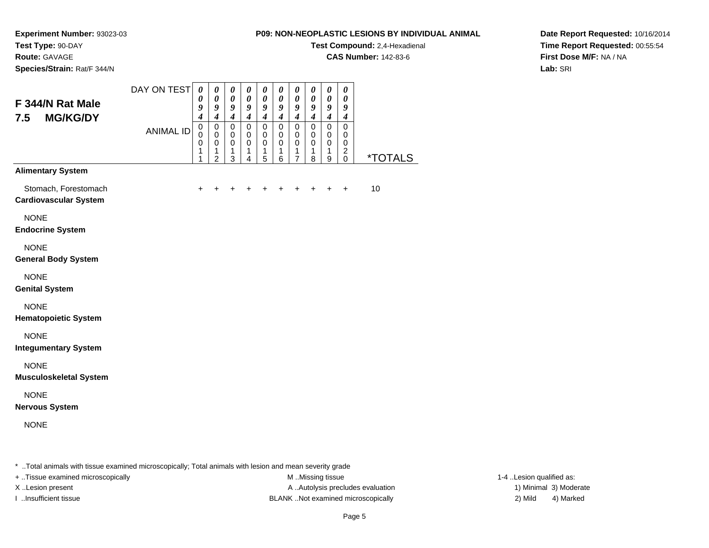**Test Compound:** 2,4-Hexadienal

**CAS Number:** 142-83-6

**Date Report Requested:** 10/16/2014**Time Report Requested:** 00:55:54**First Dose M/F:** NA / NA**Lab:** SRI

**Experiment Number:** 93023-03**Test Type:** 90-DAY**Route:** GAVAGE**Species/Strain:** Rat/F 344/N

#### DAY ON TEST**F 344/N Rat Male 7.5 MG/KG/DY**ANIMAL ID*0 0 9 4* 0 0 0 1 1*0 0 9 4* 0 0 0 1 2*0 0 9 4* 0 0 0 1 3*0 0 9 4* 0 0 0 1 4*0 0 9 4* 0 0 0 1 5*0 0 9 4* 0 0 0 1 6*0 0 9 4* 0 0 0 1 7*0 0 9 4* 0 0 0 1 8*0 0 9 4* 0 0 0 1 9*0 0 9 4* 0 0 02<br>^ 0 \*TOTALS**Alimentary System**Stomach, Forestomach $h \rightarrow$  <sup>+</sup> <sup>+</sup> <sup>+</sup> <sup>+</sup> <sup>+</sup> <sup>+</sup> <sup>+</sup> <sup>+</sup> + 10 **Cardiovascular System**NONE **Endocrine System**NONE **General Body System**NONE **Genital System**NONE **Hematopoietic System**NONE **Integumentary System**NONE **Musculoskeletal System**NONE **Nervous System**NONE

\* ..Total animals with tissue examined microscopically; Total animals with lesion and mean severity grade

+ ..Tissue examined microscopically examined microscopically examined as: M ..Missing tissue 1-4 ..Lesion qualified as:

X..Lesion present **A ..**Autolysis precludes evaluation A ..Autolysis precludes evaluation 1) Minimal 3) Moderate I ..Insufficient tissue BLANK ..Not examined microscopically 2) Mild 4) Marked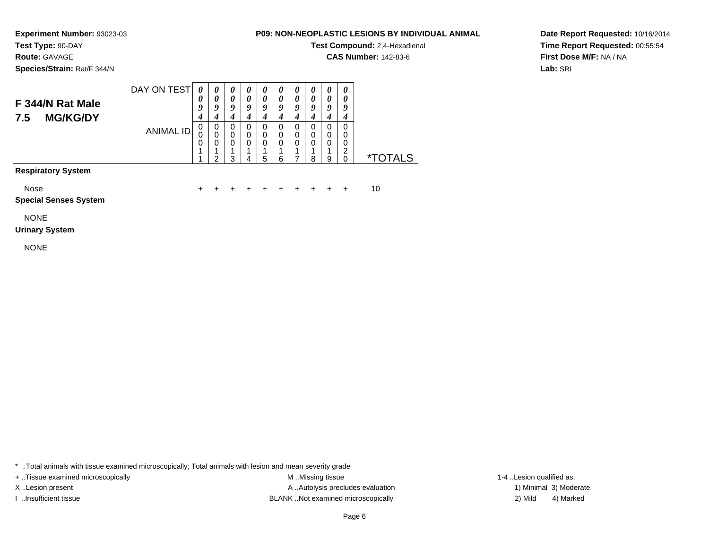# **Route:** GAVAGE

**Species/Strain:** Rat/F 344/N

### **P09: NON-NEOPLASTIC LESIONS BY INDIVIDUAL ANIMAL**

**Test Compound:** 2,4-Hexadienal

**CAS Number:** 142-83-6

**Date Report Requested:** 10/16/2014**Time Report Requested:** 00:55:54**First Dose M/F:** NA / NA**Lab:** SRI

#### DAY ON TEST**F 344/N Rat Male 7.5 MG/KG/DY**ANIMAL ID*0 0 9 4* 0 0 0 1*0 0 9 4*0<br>0<br>0<br>1<br>2 *0 0 9 4* 0 0 0 1*0 0 9 4* 0 0 0 1*0 0 9 4* 0 0 0 1 5*0 0 9 4* 0 0 0 1*0 0 9 4* 0 0 0 1*0 0 9 4*0<br>0<br>0<br>1 *0 0 9 4* 0 0 0 1*0 0 9 4* 0 0 02<br>^ \*TOTALS

3

4

1

#### **Respiratory System**

Nose

 $e$  + <sup>+</sup> <sup>+</sup> <sup>+</sup> <sup>+</sup> <sup>+</sup> <sup>+</sup> <sup>+</sup> <sup>+</sup> + 10

6

7

8

9

#### **Special Senses System**

NONE

#### **Urinary System**

NONE

\* ..Total animals with tissue examined microscopically; Total animals with lesion and mean severity grade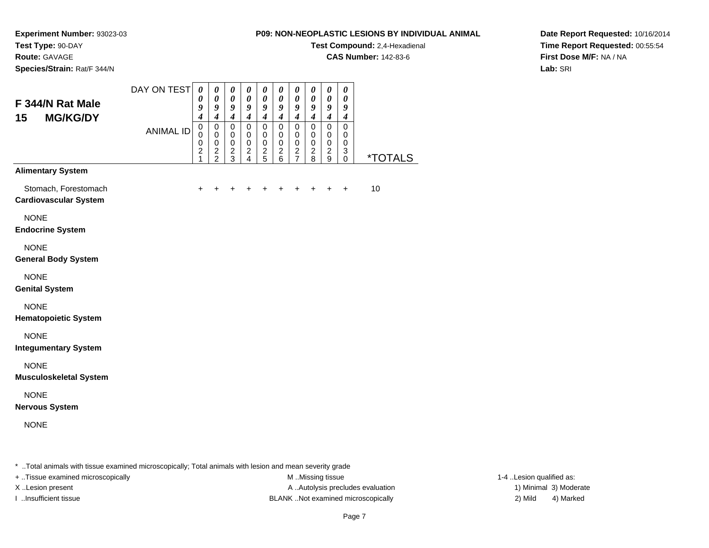### **Route:** GAVAGE

**Species/Strain:** Rat/F 344/N

#### **P09: NON-NEOPLASTIC LESIONS BY INDIVIDUAL ANIMAL**

**Test Compound:** 2,4-Hexadienal

**CAS Number:** 142-83-6

**Date Report Requested:** 10/16/2014**Time Report Requested:** 00:55:54**First Dose M/F:** NA / NA**Lab:** SRI

| F 344/N Rat Male<br>15<br><b>MG/KG/DY</b>            | DAY ON TEST      | 0<br>0<br>9<br>$\boldsymbol{4}$                        | 0<br>0<br>9<br>$\boldsymbol{4}$                | $\boldsymbol{\theta}$<br>$\boldsymbol{\theta}$<br>9<br>$\boldsymbol{4}$ | $\pmb{\theta}$<br>$\pmb{\theta}$<br>9<br>$\boldsymbol{4}$ | $\pmb{\theta}$<br>$\boldsymbol{\theta}$<br>9<br>$\boldsymbol{4}$ | $\pmb{\theta}$<br>$\pmb{\theta}$<br>9<br>$\boldsymbol{4}$ | $\boldsymbol{\theta}$<br>$\boldsymbol{\theta}$<br>$\boldsymbol{g}$<br>$\boldsymbol{4}$ | $\boldsymbol{\theta}$<br>$\boldsymbol{\theta}$<br>9<br>$\boldsymbol{4}$ | $\boldsymbol{\theta}$<br>$\boldsymbol{\theta}$<br>9<br>$\boldsymbol{4}$ | $\boldsymbol{\theta}$<br>$\boldsymbol{\theta}$<br>9<br>$\boldsymbol{4}$  |                       |
|------------------------------------------------------|------------------|--------------------------------------------------------|------------------------------------------------|-------------------------------------------------------------------------|-----------------------------------------------------------|------------------------------------------------------------------|-----------------------------------------------------------|----------------------------------------------------------------------------------------|-------------------------------------------------------------------------|-------------------------------------------------------------------------|--------------------------------------------------------------------------|-----------------------|
|                                                      | <b>ANIMAL ID</b> | $\mathbf 0$<br>0<br>$\mathbf 0$<br>$\overline{c}$<br>1 | $\mathsf 0$<br>0<br>$\pmb{0}$<br>$\frac{2}{2}$ | $\mathbf 0$<br>0<br>$\mathbf 0$<br>$\overline{c}$<br>3                  | $\mathsf 0$<br>0<br>$\mathbf 0$<br>$\frac{2}{4}$          | $\mathbf 0$<br>0<br>0<br>$\frac{2}{5}$                           | $\overline{0}$<br>0<br>$\pmb{0}$<br>$\frac{2}{6}$         | $\mathbf 0$<br>$\mathbf 0$<br>$\pmb{0}$<br>$\frac{2}{7}$                               | $\overline{0}$<br>0<br>$\pmb{0}$<br>$\boldsymbol{2}$<br>8               | $\mathbf 0$<br>$\mathbf 0$<br>$\pmb{0}$<br>$\boldsymbol{2}$<br>9        | $\mathbf 0$<br>0<br>$\mathbf 0$<br>$\ensuremath{\mathsf{3}}$<br>$\Omega$ | <i><b>*TOTALS</b></i> |
| <b>Alimentary System</b>                             |                  |                                                        |                                                |                                                                         |                                                           |                                                                  |                                                           |                                                                                        |                                                                         |                                                                         |                                                                          |                       |
| Stomach, Forestomach<br><b>Cardiovascular System</b> |                  | $\ddot{}$                                              | ٠                                              | ٠                                                                       | +                                                         | +                                                                | ٠                                                         |                                                                                        | ÷                                                                       | $\ddot{}$                                                               | $\ddot{}$                                                                | 10                    |
| <b>NONE</b><br><b>Endocrine System</b>               |                  |                                                        |                                                |                                                                         |                                                           |                                                                  |                                                           |                                                                                        |                                                                         |                                                                         |                                                                          |                       |
| <b>NONE</b><br><b>General Body System</b>            |                  |                                                        |                                                |                                                                         |                                                           |                                                                  |                                                           |                                                                                        |                                                                         |                                                                         |                                                                          |                       |
| <b>NONE</b><br><b>Genital System</b>                 |                  |                                                        |                                                |                                                                         |                                                           |                                                                  |                                                           |                                                                                        |                                                                         |                                                                         |                                                                          |                       |
| <b>NONE</b><br><b>Hematopoietic System</b>           |                  |                                                        |                                                |                                                                         |                                                           |                                                                  |                                                           |                                                                                        |                                                                         |                                                                         |                                                                          |                       |
| <b>NONE</b><br><b>Integumentary System</b>           |                  |                                                        |                                                |                                                                         |                                                           |                                                                  |                                                           |                                                                                        |                                                                         |                                                                         |                                                                          |                       |
| <b>NONE</b><br><b>Musculoskeletal System</b>         |                  |                                                        |                                                |                                                                         |                                                           |                                                                  |                                                           |                                                                                        |                                                                         |                                                                         |                                                                          |                       |
| <b>NONE</b><br><b>Nervous System</b>                 |                  |                                                        |                                                |                                                                         |                                                           |                                                                  |                                                           |                                                                                        |                                                                         |                                                                         |                                                                          |                       |
| <b>NONE</b>                                          |                  |                                                        |                                                |                                                                         |                                                           |                                                                  |                                                           |                                                                                        |                                                                         |                                                                         |                                                                          |                       |
|                                                      |                  |                                                        |                                                |                                                                         |                                                           |                                                                  |                                                           |                                                                                        |                                                                         |                                                                         |                                                                          |                       |

\* ..Total animals with tissue examined microscopically; Total animals with lesion and mean severity grade

+ ..Tissue examined microscopically examined microscopically examined as:  $M$  ..Missing tissue 1-4 ..Lesion qualified as:

X..Lesion present **A ..Autolysis precludes evaluation** A ..Autolysis precludes evaluation 1) Minimal 3) Moderate I ..Insufficient tissue BLANK ..Not examined microscopically 2) Mild 4) Marked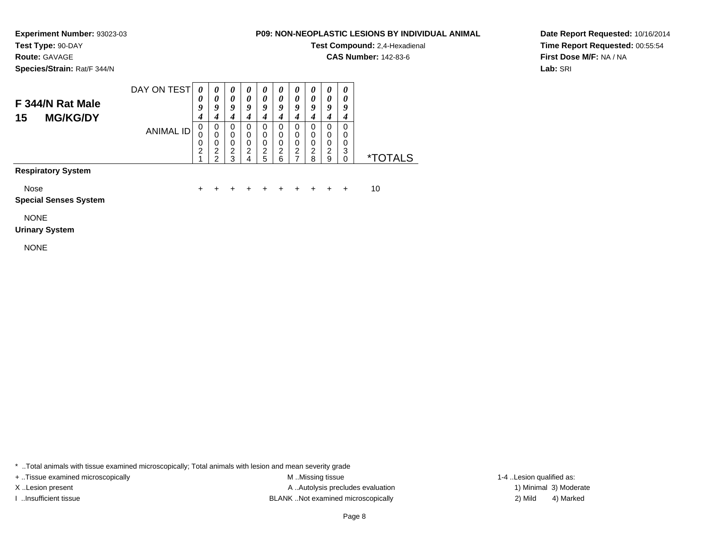**Test Type:** 90-DAY**Route:** GAVAGE

**Species/Strain:** Rat/F 344/N

### **P09: NON-NEOPLASTIC LESIONS BY INDIVIDUAL ANIMAL**

**Test Compound:** 2,4-Hexadienal

**CAS Number:** 142-83-6

**Date Report Requested:** 10/16/2014**Time Report Requested:** 00:55:54**First Dose M/F:** NA / NA**Lab:** SRI

#### DAY ON TEST**F 344/N Rat Male 15 MG/KG/DY**ANIMAL ID*0 0 9 4*0<br>0<br>0<br>2<br>1 *0 0 9 4* 0 0 0 2 2*0 0 9 4* 0 0 0 2 3*0 0 9 4* 0 0 0 2 4*0 0 9 4* 0 0 0 2 5*0 0 9 4* 0 0 0 2 6*0 0 9 4* 0 0 0 2 7*0 0 9 4* 0 0 0 2 8*0 0 9 4* 0 0 0 2 9*0 0 9 4* 0 0 03<br>^ \*TOTALS

# **Respiratory System**

Nose

 $e$  + <sup>+</sup> <sup>+</sup> <sup>+</sup> <sup>+</sup> <sup>+</sup> <sup>+</sup> <sup>+</sup> <sup>+</sup> + 10

#### **Special Senses System**

NONE

#### **Urinary System**

NONE

\* ..Total animals with tissue examined microscopically; Total animals with lesion and mean severity grade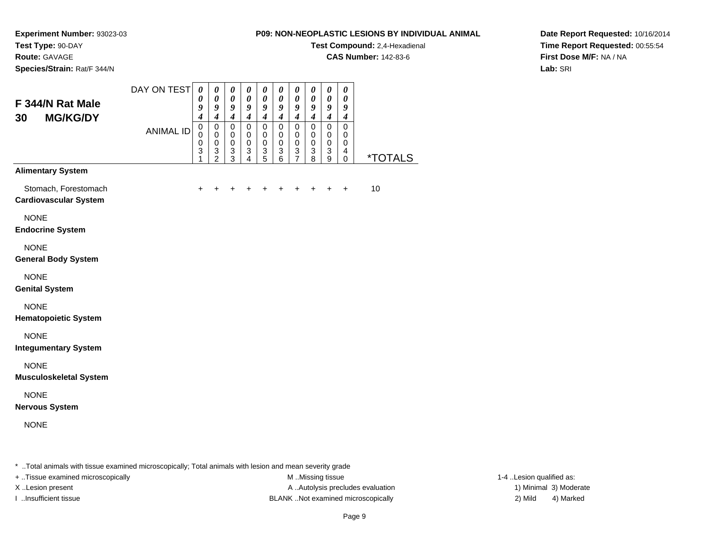**Experiment Number:** 93023-03**Test Type:** 90-DAY

**Route:** GAVAGE

**Species/Strain:** Rat/F 344/N

### **P09: NON-NEOPLASTIC LESIONS BY INDIVIDUAL ANIMAL**

**Test Compound:** 2,4-Hexadienal

**CAS Number:** 142-83-6

**Date Report Requested:** 10/16/2014**Time Report Requested:** 00:55:54**First Dose M/F:** NA / NA**Lab:** SRI

| F 344/N Rat Male<br><b>MG/KG/DY</b>                  | DAY ON TEST      | $\boldsymbol{\theta}$<br>0<br>9<br>$\boldsymbol{4}$             | $\pmb{\theta}$<br>$\pmb{\theta}$<br>9<br>$\boldsymbol{4}$ | $\boldsymbol{\theta}$<br>$\boldsymbol{\theta}$<br>9<br>$\boldsymbol{4}$ | $\boldsymbol{\theta}$<br>0<br>9<br>$\boldsymbol{4}$              | 0<br>0<br>9<br>$\boldsymbol{4}$                                                      | $\boldsymbol{\theta}$<br>0<br>$\boldsymbol{g}$<br>$\boldsymbol{4}$ | $\boldsymbol{\theta}$<br>$\boldsymbol{\theta}$<br>9<br>$\boldsymbol{4}$   | $\boldsymbol{\theta}$<br>$\boldsymbol{\theta}$<br>$\boldsymbol{g}$<br>$\boldsymbol{4}$ | $\boldsymbol{\theta}$<br>$\boldsymbol{\theta}$<br>$\boldsymbol{g}$<br>$\boldsymbol{4}$ | 0<br>0<br>9<br>$\boldsymbol{4}$                               |                       |
|------------------------------------------------------|------------------|-----------------------------------------------------------------|-----------------------------------------------------------|-------------------------------------------------------------------------|------------------------------------------------------------------|--------------------------------------------------------------------------------------|--------------------------------------------------------------------|---------------------------------------------------------------------------|----------------------------------------------------------------------------------------|----------------------------------------------------------------------------------------|---------------------------------------------------------------|-----------------------|
| 30                                                   | <b>ANIMAL ID</b> | $\pmb{0}$<br>$\overline{0}$<br>$\pmb{0}$<br>$\overline{3}$<br>1 | $\mathsf 0$<br>$\pmb{0}$<br>$\mathbf 0$<br>$\frac{3}{2}$  | $\mathsf 0$<br>0<br>$\pmb{0}$<br>3<br>$\overline{3}$                    | $\mathsf 0$<br>$\mathbf 0$<br>$\mathbf 0$<br>3<br>$\overline{4}$ | $\mathbf 0$<br>$\pmb{0}$<br>$\pmb{0}$<br>$\ensuremath{\mathsf{3}}$<br>$\overline{5}$ | $\mathsf 0$<br>$\pmb{0}$<br>$\mathbf 0$<br>3<br>6                  | $\mathbf 0$<br>$\mathbf 0$<br>$\mathbf 0$<br>$\sqrt{3}$<br>$\overline{7}$ | $\mathsf 0$<br>$\mathbf 0$<br>$\mathbf 0$<br>$\sqrt{3}$<br>8                           | $\pmb{0}$<br>$\pmb{0}$<br>$\pmb{0}$<br>$\ensuremath{\mathsf{3}}$<br>$\overline{9}$     | $\mathsf 0$<br>$\mathbf 0$<br>$\mathbf 0$<br>4<br>$\mathbf 0$ | <i><b>*TOTALS</b></i> |
| <b>Alimentary System</b>                             |                  |                                                                 |                                                           |                                                                         |                                                                  |                                                                                      |                                                                    |                                                                           |                                                                                        |                                                                                        |                                                               |                       |
| Stomach, Forestomach<br><b>Cardiovascular System</b> |                  | $\ddot{}$                                                       |                                                           | +                                                                       |                                                                  |                                                                                      |                                                                    | +                                                                         | +                                                                                      | $\ddot{}$                                                                              | $\ddot{}$                                                     | 10                    |
| <b>NONE</b><br><b>Endocrine System</b>               |                  |                                                                 |                                                           |                                                                         |                                                                  |                                                                                      |                                                                    |                                                                           |                                                                                        |                                                                                        |                                                               |                       |
| <b>NONE</b><br><b>General Body System</b>            |                  |                                                                 |                                                           |                                                                         |                                                                  |                                                                                      |                                                                    |                                                                           |                                                                                        |                                                                                        |                                                               |                       |
| <b>NONE</b><br><b>Genital System</b>                 |                  |                                                                 |                                                           |                                                                         |                                                                  |                                                                                      |                                                                    |                                                                           |                                                                                        |                                                                                        |                                                               |                       |
| <b>NONE</b><br><b>Hematopoietic System</b>           |                  |                                                                 |                                                           |                                                                         |                                                                  |                                                                                      |                                                                    |                                                                           |                                                                                        |                                                                                        |                                                               |                       |
| <b>NONE</b><br><b>Integumentary System</b>           |                  |                                                                 |                                                           |                                                                         |                                                                  |                                                                                      |                                                                    |                                                                           |                                                                                        |                                                                                        |                                                               |                       |
| <b>NONE</b><br><b>Musculoskeletal System</b>         |                  |                                                                 |                                                           |                                                                         |                                                                  |                                                                                      |                                                                    |                                                                           |                                                                                        |                                                                                        |                                                               |                       |
| <b>NONE</b><br><b>Nervous System</b>                 |                  |                                                                 |                                                           |                                                                         |                                                                  |                                                                                      |                                                                    |                                                                           |                                                                                        |                                                                                        |                                                               |                       |
| <b>NONE</b>                                          |                  |                                                                 |                                                           |                                                                         |                                                                  |                                                                                      |                                                                    |                                                                           |                                                                                        |                                                                                        |                                                               |                       |

\* ..Total animals with tissue examined microscopically; Total animals with lesion and mean severity grade

+ ..Tissue examined microscopically examined microscopically examined as:  $M$  ..Missing tissue 1-4 ..Lesion qualified as:

X..Lesion present **A ..Autolysis precludes evaluation** A ..Autolysis precludes evaluation 1) Minimal 3) Moderate I ..Insufficient tissue BLANK ..Not examined microscopically 2) Mild 4) Marked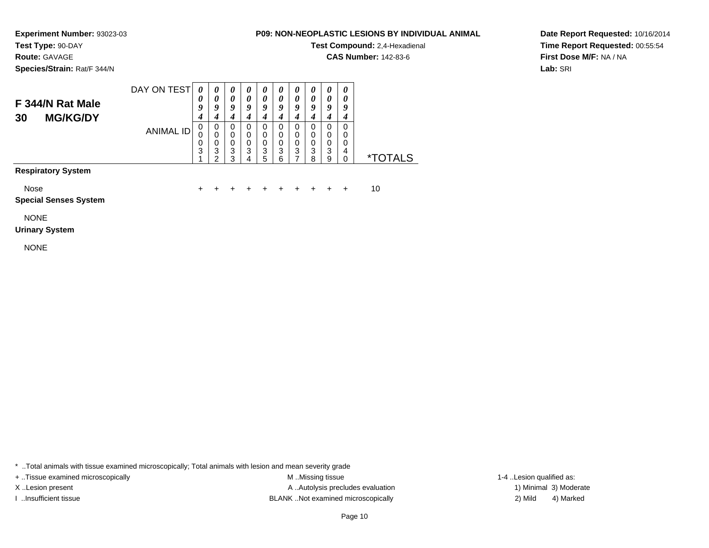**Route:** GAVAGE

**Species/Strain:** Rat/F 344/N

### **P09: NON-NEOPLASTIC LESIONS BY INDIVIDUAL ANIMAL**

**Test Compound:** 2,4-Hexadienal

**CAS Number:** 142-83-6

**Date Report Requested:** 10/16/2014**Time Report Requested:** 00:55:54**First Dose M/F:** NA / NA**Lab:** SRI

#### DAY ON TEST**F 344/N Rat Male 30 MG/KG/DY**ANIMAL ID*0 0 9 4*0<br>0<br>0<br>3<br>1 *0 0 9 4*0<br>0<br>0<br>3<br>2 *0 0 9 4* 0 0 0 3 3*0 0 9 4* 0 0 0 3 4*0 0 9 4* 0 0 0 3 5*0 0 9 4* 0 0 0 3 6*0 0 9 4* 0 0 0 3 7*0 0 9 4*0<br>0<br>0<br>3<br>8 *0 0 9 4*0<br>0<br>0<br>3<br>9 *0 0 9 4* 0 0 0 4 $\dot{0}$ \*TOTALS

**Respiratory System**

Nose

<sup>+</sup> <sup>+</sup> <sup>+</sup> <sup>+</sup> <sup>+</sup> <sup>+</sup> <sup>+</sup> <sup>+</sup> + 10

 $e$  + **Special Senses System**

NONE

#### **Urinary System**

NONE

\* ..Total animals with tissue examined microscopically; Total animals with lesion and mean severity grade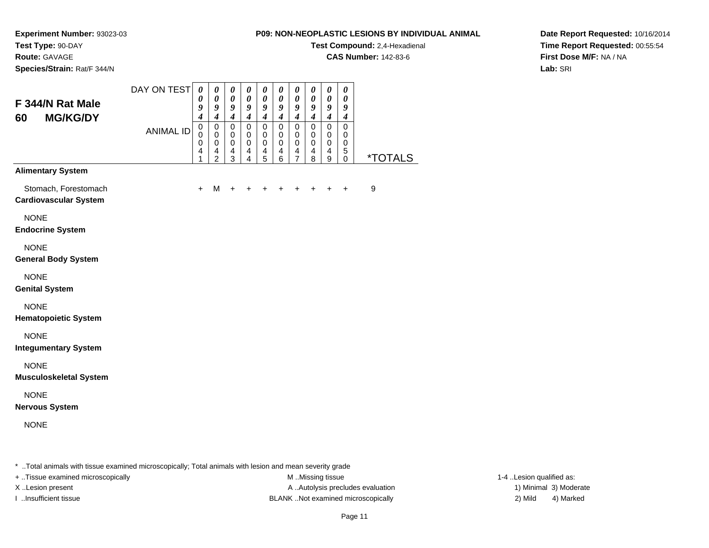**Test Compound:** 2,4-Hexadienal

**CAS Number:** 142-83-6

**Date Report Requested:** 10/16/2014**Time Report Requested:** 00:55:54**First Dose M/F:** NA / NA**Lab:** SRI

**Experiment Number:** 93023-03**Test Type:** 90-DAY**Route:** GAVAGE**Species/Strain:** Rat/F 344/N

| F 344/N Rat Male<br><b>MG/KG/DY</b>           | DAY ON TEST      | $\boldsymbol{\theta}$<br>0<br>9<br>4 | 0<br>$\pmb{\theta}$<br>9<br>$\boldsymbol{4}$       | 0<br>$\pmb{\theta}$<br>9<br>$\boldsymbol{4}$   | 0<br>$\pmb{\theta}$<br>9<br>$\boldsymbol{4}$ | 0<br>$\pmb{\theta}$<br>9<br>$\boldsymbol{4}$   | 0<br>$\pmb{\theta}$<br>9<br>$\boldsymbol{4}$       | 0<br>$\pmb{\theta}$<br>9<br>$\boldsymbol{4}$   | 0<br>0<br>9<br>$\boldsymbol{4}$       | 0<br>$\pmb{\theta}$<br>9<br>$\boldsymbol{4}$                           | 0<br>0<br>9<br>$\boldsymbol{4}$         |                       |
|-----------------------------------------------|------------------|--------------------------------------|----------------------------------------------------|------------------------------------------------|----------------------------------------------|------------------------------------------------|----------------------------------------------------|------------------------------------------------|---------------------------------------|------------------------------------------------------------------------|-----------------------------------------|-----------------------|
| 60                                            | <b>ANIMAL ID</b> | $\pmb{0}$<br>0<br>0<br>4<br>1        | $\pmb{0}$<br>0<br>$\pmb{0}$<br>4<br>$\overline{2}$ | $\mathbf 0$<br>0<br>$\pmb{0}$<br>$\frac{4}{3}$ | $\pmb{0}$<br>0<br>$\pmb{0}$<br>$\frac{4}{4}$ | $\mathbf 0$<br>0<br>$\pmb{0}$<br>$\frac{4}{5}$ | $\pmb{0}$<br>0<br>$\pmb{0}$<br>4<br>$\overline{6}$ | $\mathbf 0$<br>0<br>$\pmb{0}$<br>$\frac{4}{7}$ | $\pmb{0}$<br>0<br>$\pmb{0}$<br>4<br>8 | $\mathbf 0$<br>0<br>$\pmb{0}$<br>$\begin{array}{c} 4 \\ 9 \end{array}$ | $\mathbf 0$<br>0<br>$\,0\,$<br>$^5_{0}$ | <i><b>*TOTALS</b></i> |
| <b>Alimentary System</b>                      |                  |                                      |                                                    |                                                |                                              |                                                |                                                    |                                                |                                       |                                                                        |                                         |                       |
| Stomach, Forestomach<br>Cardiovascular System |                  | $\ddot{}$                            | M                                                  |                                                |                                              |                                                |                                                    |                                                |                                       |                                                                        |                                         | $\boldsymbol{9}$      |
| <b>NONE</b><br><b>Endocrine System</b>        |                  |                                      |                                                    |                                                |                                              |                                                |                                                    |                                                |                                       |                                                                        |                                         |                       |
| <b>NONE</b><br><b>General Body System</b>     |                  |                                      |                                                    |                                                |                                              |                                                |                                                    |                                                |                                       |                                                                        |                                         |                       |
| <b>NONE</b><br><b>Genital System</b>          |                  |                                      |                                                    |                                                |                                              |                                                |                                                    |                                                |                                       |                                                                        |                                         |                       |
| <b>NONE</b><br><b>Hematopoietic System</b>    |                  |                                      |                                                    |                                                |                                              |                                                |                                                    |                                                |                                       |                                                                        |                                         |                       |
| <b>NONE</b><br><b>Integumentary System</b>    |                  |                                      |                                                    |                                                |                                              |                                                |                                                    |                                                |                                       |                                                                        |                                         |                       |
| <b>NONE</b><br>Musculoskeletal System         |                  |                                      |                                                    |                                                |                                              |                                                |                                                    |                                                |                                       |                                                                        |                                         |                       |
| <b>NONE</b><br><b>Nervous System</b>          |                  |                                      |                                                    |                                                |                                              |                                                |                                                    |                                                |                                       |                                                                        |                                         |                       |
| <b>NONE</b>                                   |                  |                                      |                                                    |                                                |                                              |                                                |                                                    |                                                |                                       |                                                                        |                                         |                       |
|                                               |                  |                                      |                                                    |                                                |                                              |                                                |                                                    |                                                |                                       |                                                                        |                                         |                       |

\* ..Total animals with tissue examined microscopically; Total animals with lesion and mean severity grade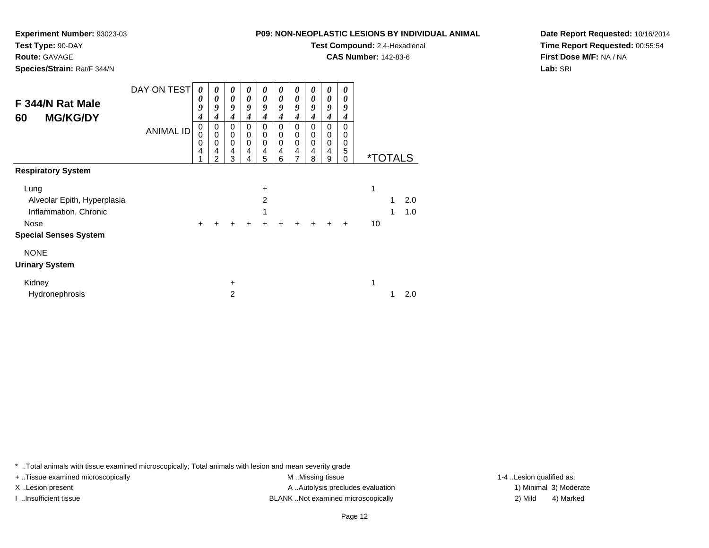**Experiment Number:** 93023-03

**Test Type:** 90-DAY**Route:** GAVAGE

**Species/Strain:** Rat/F 344/N

**Test Compound:** 2,4-Hexadienal

**CAS Number:** 142-83-6

**Date Report Requested:** 10/16/2014**Time Report Requested:** 00:55:54**First Dose M/F:** NA / NA**Lab:** SRI

| F 344/N Rat Male<br><b>MG/KG/DY</b><br>60 | DAY ON TEST<br><b>ANIMAL ID</b> | 0<br>0<br>9<br>4<br>0<br>0<br>0<br>4 | $\boldsymbol{\theta}$<br>0<br>9<br>4<br>0<br>$\mathbf 0$<br>0<br>4 | $\boldsymbol{\theta}$<br>$\boldsymbol{\theta}$<br>9<br>4<br>0<br>$\mathbf 0$<br>$\mathbf 0$<br>4 | 0<br>0<br>9<br>4<br>0<br>$\mathbf 0$<br>$\mathbf 0$<br>4 | 0<br>0<br>9<br>$\boldsymbol{4}$<br>0<br>0<br>0<br>4 | 0<br>0<br>9<br>4<br>0<br>0<br>$\mathbf 0$<br>4 | 0<br>0<br>9<br>4<br>0<br>0<br>0<br>4 | 0<br>0<br>9<br>4<br>0<br>0<br>0<br>4 | $\boldsymbol{\theta}$<br>$\boldsymbol{\theta}$<br>9<br>4<br>0<br>0<br>0<br>$\overline{4}$ | 0<br>0<br>9<br>4<br>0<br>0<br>0<br>5 |    |                       |     |
|-------------------------------------------|---------------------------------|--------------------------------------|--------------------------------------------------------------------|--------------------------------------------------------------------------------------------------|----------------------------------------------------------|-----------------------------------------------------|------------------------------------------------|--------------------------------------|--------------------------------------|-------------------------------------------------------------------------------------------|--------------------------------------|----|-----------------------|-----|
|                                           |                                 |                                      | 2                                                                  | 3                                                                                                | 4                                                        | 5                                                   | 6                                              | 7                                    | 8                                    | 9                                                                                         | 0                                    |    | <i><b>*TOTALS</b></i> |     |
| <b>Respiratory System</b>                 |                                 |                                      |                                                                    |                                                                                                  |                                                          |                                                     |                                                |                                      |                                      |                                                                                           |                                      |    |                       |     |
| Lung                                      |                                 |                                      |                                                                    |                                                                                                  |                                                          | $\ddot{}$                                           |                                                |                                      |                                      |                                                                                           |                                      | 1  |                       |     |
| Alveolar Epith, Hyperplasia               |                                 |                                      |                                                                    |                                                                                                  |                                                          | 2                                                   |                                                |                                      |                                      |                                                                                           |                                      |    |                       | 2.0 |
| Inflammation, Chronic                     |                                 |                                      |                                                                    |                                                                                                  |                                                          | 1                                                   |                                                |                                      |                                      |                                                                                           |                                      |    | 1                     | 1.0 |
| Nose                                      |                                 | +                                    |                                                                    | +                                                                                                | +                                                        |                                                     |                                                | +                                    | +                                    | +                                                                                         | $\ddot{}$                            | 10 |                       |     |
| <b>Special Senses System</b>              |                                 |                                      |                                                                    |                                                                                                  |                                                          |                                                     |                                                |                                      |                                      |                                                                                           |                                      |    |                       |     |
| <b>NONE</b>                               |                                 |                                      |                                                                    |                                                                                                  |                                                          |                                                     |                                                |                                      |                                      |                                                                                           |                                      |    |                       |     |
| <b>Urinary System</b>                     |                                 |                                      |                                                                    |                                                                                                  |                                                          |                                                     |                                                |                                      |                                      |                                                                                           |                                      |    |                       |     |
| Kidney                                    |                                 |                                      |                                                                    | +                                                                                                |                                                          |                                                     |                                                |                                      |                                      |                                                                                           |                                      | 1  |                       |     |
| Hydronephrosis                            |                                 |                                      |                                                                    | 2                                                                                                |                                                          |                                                     |                                                |                                      |                                      |                                                                                           |                                      |    |                       | 2.0 |

\* ..Total animals with tissue examined microscopically; Total animals with lesion and mean severity grade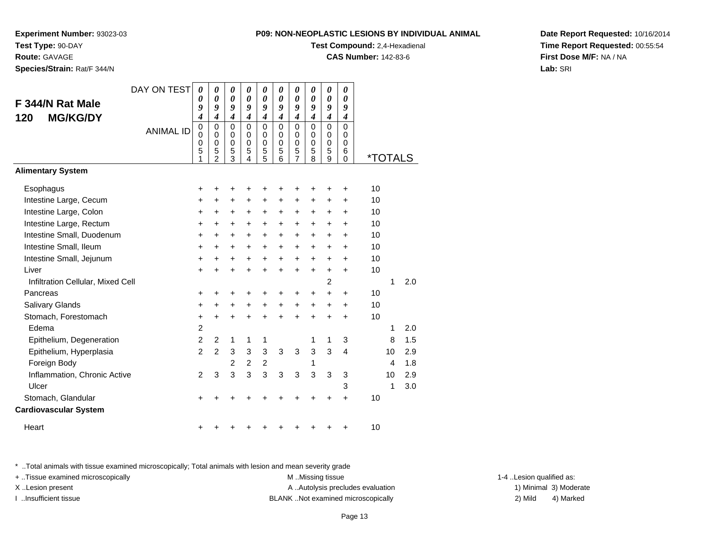**Experiment Number:** 93023-03**Test Type:** 90-DAY

**Route:** GAVAGE

**Species/Strain:** Rat/F 344/N

# **Test Compound:** 2,4-Hexadienal

**CAS Number:** 142-83-6

**Date Report Requested:** 10/16/2014**Time Report Requested:** 00:55:54**First Dose M/F:** NA / NA**Lab:** SRI

|                                   | DAY ON TEST      | 0                                         | 0                                                   | 0                                      | 0                                      | 0                                          | 0                                         | 0                                                      | 0                                         | 0                                            | 0                                                |                       |    |     |
|-----------------------------------|------------------|-------------------------------------------|-----------------------------------------------------|----------------------------------------|----------------------------------------|--------------------------------------------|-------------------------------------------|--------------------------------------------------------|-------------------------------------------|----------------------------------------------|--------------------------------------------------|-----------------------|----|-----|
| F 344/N Rat Male                  |                  | 0<br>9                                    | 0<br>9                                              | 0<br>9                                 | $\boldsymbol{\theta}$<br>9             | 0<br>9                                     | 0<br>9                                    | 0<br>9                                                 | $\theta$<br>9                             | $\theta$<br>9                                | $\theta$<br>9                                    |                       |    |     |
| <b>MG/KG/DY</b><br>120            |                  | $\overline{\boldsymbol{4}}$               | $\overline{4}$                                      | $\overline{\mathbf{4}}$                | $\overline{\boldsymbol{4}}$            | $\overline{\mathbf{4}}$                    | $\boldsymbol{4}$                          | $\boldsymbol{4}$                                       | $\boldsymbol{4}$                          | $\overline{\boldsymbol{4}}$                  | $\boldsymbol{4}$                                 |                       |    |     |
|                                   | <b>ANIMAL ID</b> | $\mathbf 0$<br>$\mathbf 0$<br>0<br>5<br>1 | $\Omega$<br>0<br>$\mathbf 0$<br>5<br>$\overline{2}$ | $\Omega$<br>0<br>$\mathbf 0$<br>5<br>3 | $\Omega$<br>0<br>$\mathbf 0$<br>5<br>4 | $\mathbf{0}$<br>0<br>$\mathbf 0$<br>5<br>5 | $\mathbf 0$<br>0<br>$\mathbf 0$<br>5<br>6 | $\mathbf 0$<br>0<br>$\mathbf 0$<br>5<br>$\overline{7}$ | $\mathbf 0$<br>0<br>$\mathbf 0$<br>5<br>8 | $\overline{0}$<br>0<br>$\mathbf 0$<br>5<br>9 | $\mathbf 0$<br>$\Omega$<br>$\mathbf 0$<br>6<br>0 | <i><b>*TOTALS</b></i> |    |     |
| <b>Alimentary System</b>          |                  |                                           |                                                     |                                        |                                        |                                            |                                           |                                                        |                                           |                                              |                                                  |                       |    |     |
| Esophagus                         |                  | +                                         | +                                                   | +                                      | +                                      | +                                          | ٠                                         | +                                                      | +                                         | +                                            | +                                                | 10                    |    |     |
| Intestine Large, Cecum            |                  | +                                         | +                                                   | +                                      | +                                      | $\ddot{}$                                  | $\ddot{}$                                 | +                                                      | +                                         | +                                            | +                                                | 10                    |    |     |
| Intestine Large, Colon            |                  | +                                         | +                                                   | +                                      | +                                      | +                                          | $\ddot{}$                                 | +                                                      | +                                         | +                                            | +                                                | 10                    |    |     |
| Intestine Large, Rectum           |                  | $\ddot{}$                                 | +                                                   | +                                      | +                                      | +                                          | $\ddot{}$                                 | +                                                      | +                                         | +                                            | +                                                | 10                    |    |     |
| Intestine Small, Duodenum         |                  | $\ddot{}$                                 | $\ddot{}$                                           | $\ddot{}$                              | $\ddot{}$                              | $\ddot{}$                                  | $\ddot{}$                                 | $\ddot{}$                                              | $\ddot{}$                                 | $\ddot{}$                                    | $\ddot{}$                                        | 10                    |    |     |
| Intestine Small, Ileum            |                  | $\ddot{}$                                 | $\ddot{}$                                           | $\ddot{}$                              | $\ddot{}$                              | $\ddot{}$                                  | $\ddot{}$                                 | $\ddot{}$                                              | $\ddot{}$                                 | $\ddot{}$                                    | $\ddot{}$                                        | 10                    |    |     |
| Intestine Small, Jejunum          |                  | $\ddot{}$                                 | $\div$                                              | +                                      | +                                      | +                                          | $\ddot{}$                                 | +                                                      | $\ddot{}$                                 | +                                            | $\ddot{}$                                        | 10                    |    |     |
| Liver                             |                  | $\ddot{}$                                 | +                                                   | $\ddot{}$                              | ÷                                      | $\ddot{}$                                  | $\ddot{}$                                 | $\ddot{}$                                              | $\ddot{}$                                 | $\ddot{}$                                    | $\ddot{}$                                        | 10                    |    |     |
| Infiltration Cellular, Mixed Cell |                  |                                           |                                                     |                                        |                                        |                                            |                                           |                                                        |                                           | 2                                            |                                                  |                       | 1  | 2.0 |
| Pancreas                          |                  | $\ddot{}$                                 | ٠                                                   | ٠                                      |                                        |                                            |                                           | ٠                                                      | +                                         | $\ddot{}$                                    | $\pm$                                            | 10                    |    |     |
| Salivary Glands                   |                  | +                                         | +                                                   | +                                      | +                                      | +                                          | $\ddot{}$                                 | $\ddot{}$                                              | $\ddot{}$                                 | $\ddot{}$                                    | $\ddot{}$                                        | 10                    |    |     |
| Stomach, Forestomach              |                  | $\ddot{}$                                 | $\ddot{}$                                           | $\ddot{}$                              | $\ddot{}$                              | $\ddot{}$                                  | ÷                                         | $\ddot{}$                                              | $\ddot{}$                                 | $\ddot{}$                                    | $\ddot{}$                                        | 10                    |    |     |
| Edema                             |                  | $\overline{c}$                            |                                                     |                                        |                                        |                                            |                                           |                                                        |                                           |                                              |                                                  |                       | 1  | 2.0 |
| Epithelium, Degeneration          |                  | $\overline{c}$                            | 2                                                   | 1                                      | 1                                      | 1                                          |                                           |                                                        | 1                                         | 1                                            | 3                                                |                       | 8  | 1.5 |
| Epithelium, Hyperplasia           |                  | $\overline{2}$                            | $\mathfrak{p}$                                      | 3                                      | 3                                      | 3                                          | 3                                         | 3                                                      | 3                                         | 3                                            | $\overline{4}$                                   |                       | 10 | 2.9 |
| Foreign Body                      |                  |                                           |                                                     | 2                                      | 2                                      | $\overline{c}$                             |                                           |                                                        | 1                                         |                                              |                                                  |                       | 4  | 1.8 |
| Inflammation, Chronic Active      |                  | $\overline{2}$                            | 3                                                   | 3                                      | 3                                      | 3                                          | 3                                         | 3                                                      | 3                                         | 3                                            | 3                                                |                       | 10 | 2.9 |
| Ulcer                             |                  |                                           |                                                     |                                        |                                        |                                            |                                           |                                                        |                                           |                                              | 3                                                |                       | 1  | 3.0 |
| Stomach, Glandular                |                  | +                                         |                                                     |                                        |                                        |                                            |                                           |                                                        |                                           | +                                            | $\ddot{}$                                        | 10                    |    |     |
| <b>Cardiovascular System</b>      |                  |                                           |                                                     |                                        |                                        |                                            |                                           |                                                        |                                           |                                              |                                                  |                       |    |     |
| Heart                             |                  |                                           |                                                     |                                        |                                        |                                            |                                           |                                                        |                                           | +                                            | +                                                | 10                    |    |     |

\* ..Total animals with tissue examined microscopically; Total animals with lesion and mean severity grade

+ ..Tissue examined microscopically examined microscopically examined as:  $M$  ..Missing tissue 1-4 ..Lesion qualified as: X..Lesion present **A ..Autolysis precludes evaluation** A ..Autolysis precludes evaluation 1) Minimal 3) Moderate

I ..Insufficient tissue BLANK ..Not examined microscopically 2) Mild 4) Marked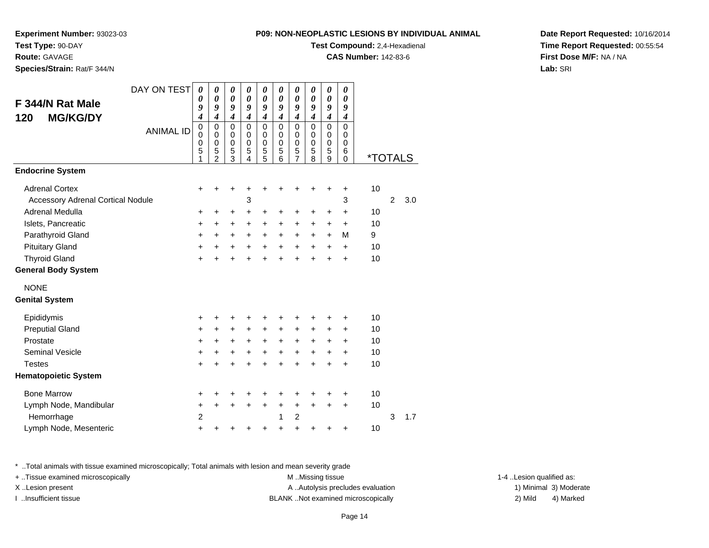**Experiment Number:** 93023-03

**Test Type:** 90-DAY**Route:** GAVAGE

**Species/Strain:** Rat/F 344/N

|  | NON-NEOPLASTIC LESIONS BY INDIVIDUAL ANIMAL |  |  |
|--|---------------------------------------------|--|--|
|  |                                             |  |  |

**Test Compound:** 2,4-Hexadienal

**CAS Number:** 142-83-6

**Date Report Requested:** 10/16/2014**Time Report Requested:** 00:55:54**First Dose M/F:** NA / NA**Lab:** SRI

| DAY ON TEST                              | 0                | 0                           | 0                          | 0                          | 0                          | 0                          | 0                          | $\boldsymbol{\theta}$      | 0                             | 0                          |                       |                |     |
|------------------------------------------|------------------|-----------------------------|----------------------------|----------------------------|----------------------------|----------------------------|----------------------------|----------------------------|-------------------------------|----------------------------|-----------------------|----------------|-----|
| F 344/N Rat Male                         | 0<br>9           | $\boldsymbol{\theta}$<br>9  | 0<br>9                     | 0<br>9                     | $\pmb{\theta}$<br>9        | $\boldsymbol{\theta}$<br>9 | $\boldsymbol{\theta}$<br>9 | $\boldsymbol{\theta}$<br>9 | $\boldsymbol{\theta}$<br>9    | $\boldsymbol{\theta}$<br>9 |                       |                |     |
| <b>MG/KG/DY</b><br>120                   | 4                | $\overline{\boldsymbol{4}}$ | $\boldsymbol{4}$           | $\boldsymbol{4}$           | $\boldsymbol{4}$           | $\overline{4}$             | $\boldsymbol{4}$           | $\boldsymbol{4}$           | $\boldsymbol{4}$              | $\boldsymbol{4}$           |                       |                |     |
| <b>ANIMAL ID</b>                         | $\mathbf 0$<br>0 | 0<br>$\Omega$               | $\mathbf 0$<br>$\mathbf 0$ | $\mathsf 0$<br>$\mathbf 0$ | $\mathsf 0$<br>$\mathbf 0$ | $\mathbf 0$<br>$\Omega$    | $\mathbf 0$<br>$\mathbf 0$ | $\mathbf 0$<br>0           | $\overline{0}$<br>$\mathbf 0$ | $\mathbf 0$<br>0           |                       |                |     |
|                                          | 0                | $\pmb{0}$                   | 0                          | 0                          | $\pmb{0}$                  | $\mathbf 0$                | $\mathbf 0$                | $\mathbf 0$                | $\mathbf 0$                   | 0                          |                       |                |     |
|                                          | 5<br>1           | 5<br>$\overline{2}$         | 5<br>$\overline{3}$        | 5<br>4                     | $\frac{5}{5}$              | 5<br>6                     | 5<br>$\overline{7}$        | 5<br>8                     | 5<br>9                        | 6<br>$\Omega$              | <i><b>*TOTALS</b></i> |                |     |
| <b>Endocrine System</b>                  |                  |                             |                            |                            |                            |                            |                            |                            |                               |                            |                       |                |     |
| <b>Adrenal Cortex</b>                    | +                | +                           | +                          | +                          | +                          | ┿                          | +                          |                            | ٠                             | ÷                          | 10                    |                |     |
| <b>Accessory Adrenal Cortical Nodule</b> |                  |                             |                            | 3                          |                            |                            |                            |                            |                               | 3                          |                       | $\overline{2}$ | 3.0 |
| Adrenal Medulla                          | +                | +                           | $\ddot{}$                  | $\ddot{}$                  | +                          | ÷                          | ٠                          | ÷                          | ÷                             | +                          | 10                    |                |     |
| Islets, Pancreatic                       | $\ddot{}$        | $\ddot{}$                   | $\ddot{}$                  | $\ddot{}$                  | $\ddot{}$                  | $\ddot{}$                  | $\ddot{}$                  | $\ddot{}$                  | +                             | $\ddot{}$                  | 10                    |                |     |
| Parathyroid Gland                        | $\ddot{}$        | $\ddot{}$                   | +                          | $\ddot{}$                  | $\ddot{}$                  | $\ddot{}$                  | $\ddot{}$                  | $\ddot{}$                  | $\ddot{}$                     | M                          | 9                     |                |     |
| <b>Pituitary Gland</b>                   | $\ddot{}$        | $\ddot{}$                   | $\ddot{}$                  | $\ddot{}$                  | $\ddot{}$                  | $+$                        | $\ddot{}$                  | $+$                        | $\ddot{}$                     | $\ddot{}$                  | 10                    |                |     |
| <b>Thyroid Gland</b>                     | $\ddot{}$        | ÷                           | $\ddot{}$                  | $\ddot{}$                  | $\ddot{}$                  | $\ddot{}$                  | $\ddot{}$                  |                            | ÷                             | $\ddot{}$                  | 10                    |                |     |
| <b>General Body System</b>               |                  |                             |                            |                            |                            |                            |                            |                            |                               |                            |                       |                |     |
| <b>NONE</b>                              |                  |                             |                            |                            |                            |                            |                            |                            |                               |                            |                       |                |     |
| <b>Genital System</b>                    |                  |                             |                            |                            |                            |                            |                            |                            |                               |                            |                       |                |     |
| Epididymis                               | +                | +                           | +                          |                            | +                          | ٠                          | ٠                          |                            |                               | ٠                          | 10                    |                |     |
| <b>Preputial Gland</b>                   | $\ddot{}$        | $\ddot{}$                   | $\ddot{}$                  | $\ddot{}$                  | $\ddot{}$                  | $\ddot{}$                  | $\ddot{}$                  | $\ddot{}$                  | $\ddot{}$                     | $\ddot{}$                  | 10                    |                |     |
| Prostate                                 | $\ddot{}$        | +                           | $\ddot{}$                  | $\ddot{}$                  | $\ddot{}$                  | $\ddot{}$                  | +                          | $\ddot{}$                  | +                             | $\ddot{}$                  | 10                    |                |     |
| <b>Seminal Vesicle</b>                   | $\ddot{}$        | +                           | +                          | +                          | $\ddot{}$                  | $\ddot{}$                  | +                          | $\ddot{}$                  | +                             | +                          | 10                    |                |     |
| <b>Testes</b>                            | $\ddot{}$        | $\ddot{}$                   | $\ddot{}$                  | $\ddot{}$                  | $\ddot{}$                  | $\ddot{}$                  | $\ddot{}$                  | $+$                        | $\ddot{}$                     | $\ddot{}$                  | 10                    |                |     |
| <b>Hematopoietic System</b>              |                  |                             |                            |                            |                            |                            |                            |                            |                               |                            |                       |                |     |
| <b>Bone Marrow</b>                       | +                | +                           | +                          |                            |                            |                            | +                          |                            |                               | ٠                          | 10                    |                |     |
| Lymph Node, Mandibular                   | $\ddot{}$        | $\ddot{}$                   | +                          | $\ddot{}$                  | $\ddot{}$                  | $\ddot{}$                  | $\ddot{}$                  | $\ddot{}$                  | $\ddot{}$                     | $\ddot{}$                  | 10                    |                |     |
| Hemorrhage                               | $\overline{2}$   |                             |                            |                            |                            | 1                          | $\overline{2}$             |                            |                               |                            |                       | 3              | 1.7 |
| Lymph Node, Mesenteric                   | +                | +                           | +                          |                            | +                          | +                          | +                          |                            |                               | +                          | 10                    |                |     |

\* ..Total animals with tissue examined microscopically; Total animals with lesion and mean severity grade

+ ..Tissue examined microscopically examined microscopically examined as:  $M$  ..Missing tissue 1-4 ..Lesion qualified as:

M ..Missing tissue X..Lesion present **A ..Autolysis precludes evaluation** A ..Autolysis precludes evaluation 1) Minimal 3) Moderate I ..Insufficient tissue BLANK ..Not examined microscopically 2) Mild 4) Marked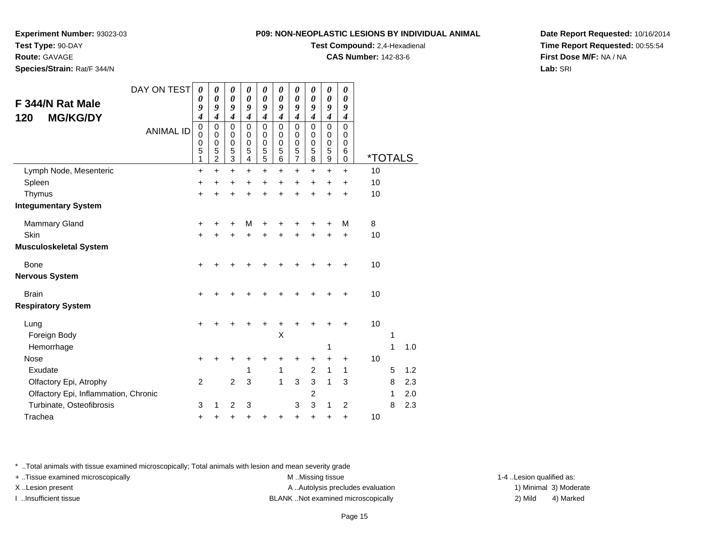**Test Type:** 90-DAY

**Route:** GAVAGE

**Species/Strain:** Rat/F 344/N

#### **P09: NON-NEOPLASTIC LESIONS BY INDIVIDUAL ANIMAL**

**Test Compound:** 2,4-Hexadienal

**CAS Number:** 142-83-6

**Date Report Requested:** 10/16/2014**Time Report Requested:** 00:55:54**First Dose M/F:** NA / NA**Lab:** SRI

| F 344/N Rat Male<br><b>MG/KG/DY</b><br>120 | DAY ON TEST      | $\boldsymbol{\theta}$<br>0<br>9<br>$\boldsymbol{4}$ | 0<br>$\boldsymbol{\theta}$<br>9<br>$\boldsymbol{4}$           | $\boldsymbol{\theta}$<br>$\boldsymbol{\theta}$<br>9<br>$\boldsymbol{4}$ | $\boldsymbol{\theta}$<br>$\boldsymbol{\theta}$<br>9<br>$\boldsymbol{4}$ | $\pmb{\theta}$<br>$\boldsymbol{\theta}$<br>9<br>$\boldsymbol{4}$ | 0<br>$\boldsymbol{\theta}$<br>9<br>$\overline{\boldsymbol{4}}$ | 0<br>0<br>9<br>$\boldsymbol{4}$ | 0<br>$\boldsymbol{\theta}$<br>9<br>$\boldsymbol{4}$ | $\boldsymbol{\theta}$<br>$\boldsymbol{\theta}$<br>9<br>$\boldsymbol{4}$ | 0<br>0<br>9<br>$\boldsymbol{4}$                     |                              |   |     |
|--------------------------------------------|------------------|-----------------------------------------------------|---------------------------------------------------------------|-------------------------------------------------------------------------|-------------------------------------------------------------------------|------------------------------------------------------------------|----------------------------------------------------------------|---------------------------------|-----------------------------------------------------|-------------------------------------------------------------------------|-----------------------------------------------------|------------------------------|---|-----|
|                                            | <b>ANIMAL ID</b> | $\pmb{0}$<br>$\mathbf 0$<br>$\mathbf 0$<br>5<br>1   | $\mathbf 0$<br>$\Omega$<br>$\mathbf 0$<br>5<br>$\overline{2}$ | $\mathbf 0$<br>$\mathbf 0$<br>$\mathbf 0$<br>$\frac{5}{3}$              | $\mathbf 0$<br>$\Omega$<br>0<br>5<br>$\overline{4}$                     | 0<br>0<br>$\boldsymbol{0}$<br>$\frac{5}{5}$                      | 0<br>$\mathbf 0$<br>0<br>5<br>6                                | 0<br>0<br>0<br>$\frac{5}{7}$    | $\Omega$<br>0<br>$\mathbf 0$<br>5<br>8              | $\mathbf 0$<br>$\mathbf 0$<br>$\mathbf 0$<br>$\frac{5}{9}$              | $\mathbf 0$<br>$\mathbf 0$<br>0<br>6<br>$\mathbf 0$ | <u><i><b>*TOTALS</b></i></u> |   |     |
| Lymph Node, Mesenteric                     |                  | $\ddot{}$                                           | $\ddot{}$                                                     | $\ddot{}$                                                               | $\ddot{}$                                                               | $\ddot{}$                                                        | $\ddot{}$                                                      | $\ddot{}$                       | $\ddot{}$                                           | $+$                                                                     | $\ddot{}$                                           | 10                           |   |     |
| Spleen                                     |                  | +                                                   | +                                                             | +                                                                       | $\ddot{}$                                                               | +                                                                | +                                                              | +                               | +                                                   | $\ddot{}$                                                               | $\ddot{}$                                           | 10                           |   |     |
| Thymus                                     |                  | $\ddot{}$                                           | ÷                                                             | $\ddot{}$                                                               | +                                                                       | +                                                                | +                                                              | $\ddot{}$                       | +                                                   | $\div$                                                                  | $\ddot{}$                                           | 10                           |   |     |
| <b>Integumentary System</b>                |                  |                                                     |                                                               |                                                                         |                                                                         |                                                                  |                                                                |                                 |                                                     |                                                                         |                                                     |                              |   |     |
| <b>Mammary Gland</b>                       |                  | +                                                   |                                                               | +                                                                       | M                                                                       | +                                                                |                                                                |                                 |                                                     |                                                                         | M                                                   | 8                            |   |     |
| Skin                                       |                  | $\ddot{}$                                           |                                                               | +                                                                       | +                                                                       | +                                                                | +                                                              | +                               | +                                                   |                                                                         | $\ddot{}$                                           | 10                           |   |     |
| <b>Musculoskeletal System</b>              |                  |                                                     |                                                               |                                                                         |                                                                         |                                                                  |                                                                |                                 |                                                     |                                                                         |                                                     |                              |   |     |
| <b>Bone</b>                                |                  |                                                     |                                                               |                                                                         |                                                                         |                                                                  |                                                                |                                 |                                                     |                                                                         |                                                     | 10                           |   |     |
| <b>Nervous System</b>                      |                  |                                                     |                                                               |                                                                         |                                                                         |                                                                  |                                                                |                                 |                                                     |                                                                         |                                                     |                              |   |     |
| <b>Brain</b>                               |                  | $\ddot{}$                                           |                                                               | +                                                                       |                                                                         |                                                                  |                                                                |                                 |                                                     |                                                                         | +                                                   | 10                           |   |     |
| <b>Respiratory System</b>                  |                  |                                                     |                                                               |                                                                         |                                                                         |                                                                  |                                                                |                                 |                                                     |                                                                         |                                                     |                              |   |     |
| Lung                                       |                  |                                                     |                                                               |                                                                         |                                                                         |                                                                  |                                                                |                                 |                                                     |                                                                         |                                                     | 10                           |   |     |
| Foreign Body                               |                  |                                                     |                                                               |                                                                         |                                                                         |                                                                  | Χ                                                              |                                 |                                                     |                                                                         |                                                     |                              | 1 |     |
| Hemorrhage                                 |                  |                                                     |                                                               |                                                                         |                                                                         |                                                                  |                                                                |                                 |                                                     | 1                                                                       |                                                     |                              | 1 | 1.0 |
| <b>Nose</b>                                |                  | +                                                   |                                                               | +                                                                       |                                                                         |                                                                  | +                                                              | +                               | +                                                   | $\ddot{}$                                                               | +                                                   | 10                           |   |     |
| Exudate                                    |                  |                                                     |                                                               |                                                                         | 1                                                                       |                                                                  | 1                                                              |                                 | 2                                                   | 1                                                                       | 1                                                   |                              | 5 | 1.2 |
| Olfactory Epi, Atrophy                     |                  | $\overline{2}$                                      |                                                               | $\overline{c}$                                                          | 3                                                                       |                                                                  | 1                                                              | 3                               | 3                                                   | 1                                                                       | 3                                                   |                              | 8 | 2.3 |
| Olfactory Epi, Inflammation, Chronic       |                  |                                                     |                                                               |                                                                         |                                                                         |                                                                  |                                                                |                                 | 2                                                   |                                                                         |                                                     |                              | 1 | 2.0 |
| Turbinate, Osteofibrosis                   |                  | 3                                                   | 1                                                             | 2                                                                       | 3                                                                       |                                                                  |                                                                | 3                               | 3                                                   | 1                                                                       | 2                                                   |                              | 8 | 2.3 |
| Trachea                                    |                  | +                                                   | +                                                             | +                                                                       | +                                                                       |                                                                  | +                                                              | +                               | +                                                   |                                                                         | +                                                   | 10                           |   |     |

\* ..Total animals with tissue examined microscopically; Total animals with lesion and mean severity grade

+ ..Tissue examined microscopically examined microscopically examined as:  $M$  ..Missing tissue 1-4 ..Lesion qualified as: X..Lesion present **A ..Autolysis precludes evaluation** A ..Autolysis precludes evaluation 1) Minimal 3) Moderate

I ..Insufficient tissue BLANK ..Not examined microscopically 2) Mild 4) Marked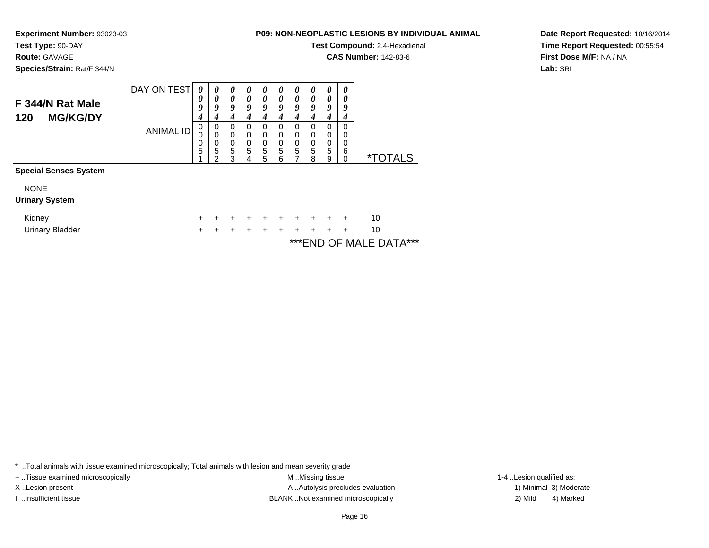**Test Type:** 90-DAY

**Route:** GAVAGE

**Species/Strain:** Rat/F 344/N

### **P09: NON-NEOPLASTIC LESIONS BY INDIVIDUAL ANIMAL**

**Test Compound:** 2,4-Hexadienal

**CAS Number:** 142-83-6

**Date Report Requested:** 10/16/2014**Time Report Requested:** 00:55:54**First Dose M/F:** NA / NA**Lab:** SRI

|                              | DAY ON TEST | 0 | $\theta$ | $\theta$ | $\boldsymbol{\theta}$ | $\boldsymbol{\theta}$ | $\boldsymbol{\theta}$ | $\boldsymbol{\theta}$ | U | $\boldsymbol{\theta}$ | $\boldsymbol{\theta}$ |                       |
|------------------------------|-------------|---|----------|----------|-----------------------|-----------------------|-----------------------|-----------------------|---|-----------------------|-----------------------|-----------------------|
| F 344/N Rat Male             |             | 0 | 0        | 0        | $\boldsymbol{\theta}$ | 0                     | 0                     | 0                     | 0 | 0                     |                       |                       |
|                              |             | 9 | 9        | 9        | g                     | 9                     | 9                     | 9                     | у | 9                     | 9                     |                       |
| <b>MG/KG/DY</b><br>120       |             |   |          |          |                       |                       |                       |                       |   |                       |                       |                       |
|                              | ANIMAL ID   | 0 | 0        | 0        | 0                     | 0                     | O                     | 0                     | U | 0                     | 0                     |                       |
|                              |             | 0 | 0        | $\Omega$ | 0                     | 0                     | 0                     | 0                     | 0 | 0                     | 0                     |                       |
|                              |             | 0 | 0        | 0        | 0                     | 0                     | 0                     | 0                     | 0 | 0                     | 0                     |                       |
|                              |             | 5 | 5        | 5        | 5                     | 5                     | 5                     | 5                     | 5 | 5                     | 6                     |                       |
|                              |             |   | ◠        | 3        |                       | 5                     | 6                     |                       | 8 | 9                     | 0                     | <i><b>*TOTALS</b></i> |
| <b>Special Senses System</b> |             |   |          |          |                       |                       |                       |                       |   |                       |                       |                       |

| <b>NONE</b><br><b>Urinary System</b> |  |  |  |                     |  |                         |  |
|--------------------------------------|--|--|--|---------------------|--|-------------------------|--|
| Kidney                               |  |  |  | + + + + + + + + + + |  | 10                      |  |
| Urinary Bladder                      |  |  |  | + + + + + + + + + + |  | 10                      |  |
|                                      |  |  |  |                     |  | *** END OF MALE DATA*** |  |

\* ..Total animals with tissue examined microscopically; Total animals with lesion and mean severity grade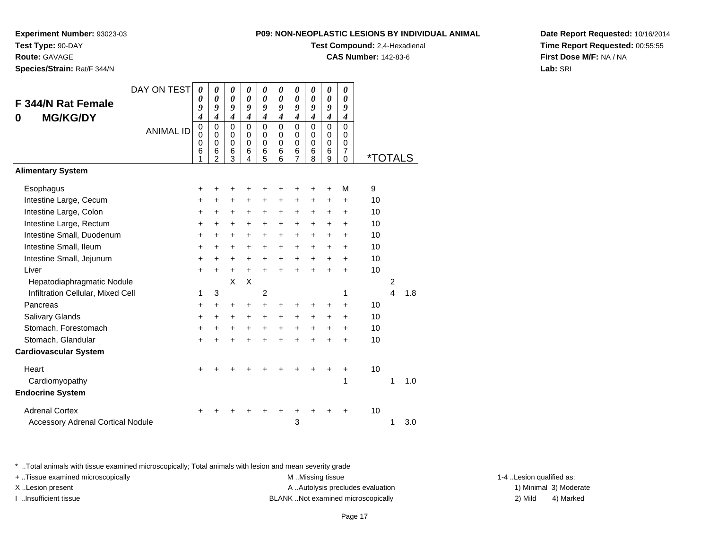**Route:** GAVAGE

**Species/Strain:** Rat/F 344/N

### **P09: NON-NEOPLASTIC LESIONS BY INDIVIDUAL ANIMAL**

**Test Compound:** 2,4-Hexadienal

**CAS Number:** 142-83-6

**Date Report Requested:** 10/16/2014**Time Report Requested:** 00:55:55**First Dose M/F:** NA / NA**Lab:** SRI

|                                          | DAY ON TEST      | $\boldsymbol{\theta}$ | 0                | $\boldsymbol{\theta}$ | $\boldsymbol{\theta}$   | 0              | 0                | 0                | 0                | $\boldsymbol{\theta}$      | 0                             |                       |                |     |
|------------------------------------------|------------------|-----------------------|------------------|-----------------------|-------------------------|----------------|------------------|------------------|------------------|----------------------------|-------------------------------|-----------------------|----------------|-----|
| F 344/N Rat Female                       |                  | 0<br>9                | 0<br>9           | 0<br>9                | 0<br>9                  | 0<br>9         | 0<br>9           | 0<br>9           | 0<br>9           | $\boldsymbol{\theta}$<br>9 | 0<br>9                        |                       |                |     |
| <b>MG/KG/DY</b><br>0                     |                  | $\boldsymbol{4}$      | $\boldsymbol{4}$ | $\boldsymbol{4}$      | $\boldsymbol{4}$        | 4              | $\boldsymbol{4}$ | $\boldsymbol{4}$ | $\boldsymbol{4}$ | $\boldsymbol{4}$           | $\boldsymbol{4}$              |                       |                |     |
|                                          | <b>ANIMAL ID</b> | $\mathbf 0$<br>0      | 0<br>$\Omega$    | $\mathbf 0$<br>0      | $\Omega$<br>$\mathbf 0$ | 0<br>0         | $\mathbf 0$<br>0 | 0<br>0           | $\mathbf 0$<br>0 | $\Omega$<br>$\Omega$       | $\Omega$<br>0                 |                       |                |     |
|                                          |                  | 0                     | $\Omega$         | $\mathbf 0$           | $\Omega$                | $\Omega$       | $\Omega$         | 0                | $\mathbf 0$      | $\mathbf 0$                | $\mathbf 0$                   |                       |                |     |
|                                          |                  | 6<br>1                | 6<br>2           | 6<br>3                | 6<br>4                  | 6<br>5         | 6<br>6           | 6<br>7           | 6<br>8           | 6<br>9                     | $\overline{7}$<br>$\mathbf 0$ | <i><b>*TOTALS</b></i> |                |     |
| <b>Alimentary System</b>                 |                  |                       |                  |                       |                         |                |                  |                  |                  |                            |                               |                       |                |     |
| Esophagus                                |                  | +                     | +                |                       |                         | +              | +                | +                | +                | +                          | M                             | 9                     |                |     |
| Intestine Large, Cecum                   |                  | +                     | +                | $\ddot{}$             | +                       | $\ddot{}$      | $\ddot{}$        | $\ddot{}$        | $\ddot{}$        | +                          | +                             | 10                    |                |     |
| Intestine Large, Colon                   |                  | $\ddot{}$             | $\ddot{}$        | $\ddot{}$             | $\ddot{}$               | $\ddot{}$      | $\ddot{}$        | $\ddot{}$        | $\ddot{}$        | $\ddot{}$                  | $\ddot{}$                     | 10                    |                |     |
| Intestine Large, Rectum                  |                  | $\ddot{}$             | +                | $\ddot{}$             | $\ddot{}$               | $\ddot{}$      | $\ddot{}$        | $\ddot{}$        | $\ddot{}$        | +                          | +                             | 10                    |                |     |
| Intestine Small, Duodenum                |                  | $\ddot{}$             | $\ddot{}$        | $\ddot{}$             | $\ddot{}$               | $\ddot{}$      | $\ddot{}$        | $+$              | $\ddot{}$        | $\ddot{}$                  | $\ddot{}$                     | 10                    |                |     |
| Intestine Small, Ileum                   |                  | $\ddot{}$             | $\ddot{}$        | $\ddot{}$             | +                       | $\ddot{}$      | $\ddot{}$        | $\ddot{}$        | $\ddot{}$        | +                          | +                             | 10                    |                |     |
| Intestine Small, Jejunum                 |                  | $\ddot{}$             | $\ddot{}$        | +                     | $\ddot{}$               | $\ddot{}$      | $\ddot{}$        | $\ddot{}$        | $\ddot{}$        | $\ddot{}$                  | $\ddot{}$                     | 10                    |                |     |
| Liver                                    |                  | $\ddot{}$             | $\ddot{}$        | $\ddot{}$             | $+$                     | $\ddot{}$      | $\ddot{}$        | $+$              | $\ddot{}$        | $\ddot{}$                  | $\ddot{}$                     | 10                    |                |     |
| Hepatodiaphragmatic Nodule               |                  |                       |                  | X                     | X                       |                |                  |                  |                  |                            |                               |                       | $\overline{c}$ |     |
| Infiltration Cellular, Mixed Cell        |                  | 1                     | 3                |                       |                         | $\overline{c}$ |                  |                  |                  |                            | 1                             |                       | $\overline{4}$ | 1.8 |
| Pancreas                                 |                  | +                     | $\ddot{}$        | $\ddot{}$             | $\ddot{}$               | $\ddot{}$      | +                | +                | +                | +                          | $\ddot{}$                     | 10                    |                |     |
| Salivary Glands                          |                  | $\ddot{}$             | $\ddot{}$        | +                     | $+$                     | $\ddot{}$      | $\ddot{}$        | $\ddot{}$        | $\ddot{}$        | $\ddot{}$                  | $\ddot{}$                     | 10                    |                |     |
| Stomach, Forestomach                     |                  | +                     | $\ddot{}$        | +                     | $\ddot{}$               | $\ddot{}$      | $\ddot{}$        | $\ddot{}$        | +                | +                          | +                             | 10                    |                |     |
| Stomach, Glandular                       |                  | $\ddot{}$             | $\ddot{}$        | $\ddot{}$             | $\ddot{}$               | $\ddot{}$      | $\ddot{}$        | $\ddot{}$        | $\ddot{}$        |                            | ÷                             | 10                    |                |     |
| <b>Cardiovascular System</b>             |                  |                       |                  |                       |                         |                |                  |                  |                  |                            |                               |                       |                |     |
| Heart                                    |                  | +                     |                  |                       |                         |                |                  |                  |                  |                            | +                             | 10                    |                |     |
| Cardiomyopathy                           |                  |                       |                  |                       |                         |                |                  |                  |                  |                            | 1                             |                       | 1              | 1.0 |
| <b>Endocrine System</b>                  |                  |                       |                  |                       |                         |                |                  |                  |                  |                            |                               |                       |                |     |
| <b>Adrenal Cortex</b>                    |                  |                       |                  |                       |                         |                |                  |                  |                  |                            |                               | 10                    |                |     |
| <b>Accessory Adrenal Cortical Nodule</b> |                  |                       |                  |                       |                         |                |                  | 3                |                  |                            |                               |                       | 1              | 3.0 |

\* ..Total animals with tissue examined microscopically; Total animals with lesion and mean severity grade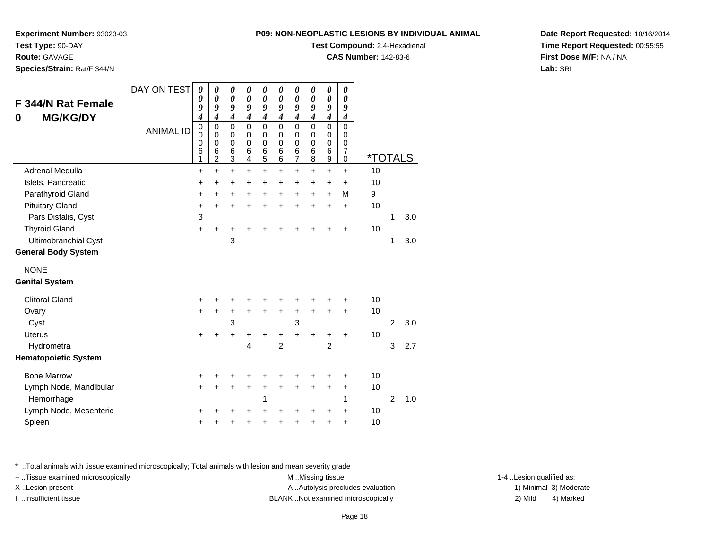**Route:** GAVAGE

**Species/Strain:** Rat/F 344/N

#### **P09: NON-NEOPLASTIC LESIONS BY INDIVIDUAL ANIMAL**

**Test Compound:** 2,4-Hexadienal

**CAS Number:** 142-83-6

**Date Report Requested:** 10/16/2014**Time Report Requested:** 00:55:55**First Dose M/F:** NA / NA**Lab:** SRI

| F 344/N Rat Female<br><b>MG/KG/DY</b><br>0 | DAY ON TEST<br><b>ANIMAL ID</b> | $\boldsymbol{\theta}$<br>0<br>9<br>4<br>$\mathbf 0$<br>$\mathbf 0$<br>0<br>6<br>1 | 0<br>0<br>9<br>$\boldsymbol{4}$<br>0<br>0<br>$\mathbf 0$<br>6<br>2 | 0<br>$\boldsymbol{\theta}$<br>9<br>$\boldsymbol{4}$<br>$\mathbf 0$<br>0<br>0<br>$\,6$<br>3 | 0<br>$\boldsymbol{\theta}$<br>9<br>$\boldsymbol{4}$<br>$\mathbf 0$<br>$\Omega$<br>$\mathbf 0$<br>$\,6$<br>4 | 0<br>$\boldsymbol{\theta}$<br>9<br>$\boldsymbol{4}$<br>$\mathbf 0$<br>0<br>0<br>6<br>5 | 0<br>$\boldsymbol{\theta}$<br>9<br>$\boldsymbol{4}$<br>$\mathbf 0$<br>$\Omega$<br>$\mathbf 0$<br>6<br>6 | $\boldsymbol{\theta}$<br>$\boldsymbol{\theta}$<br>9<br>$\boldsymbol{4}$<br>$\mathbf 0$<br>$\mathbf 0$<br>0<br>$\,6$<br>$\overline{7}$ | 0<br>$\boldsymbol{\theta}$<br>9<br>$\boldsymbol{4}$<br>$\mathbf 0$<br>$\Omega$<br>$\mathbf 0$<br>6<br>8 | 0<br>$\boldsymbol{\theta}$<br>9<br>$\boldsymbol{4}$<br>$\mathbf 0$<br>$\mathbf 0$<br>0<br>6<br>$\boldsymbol{9}$ | $\pmb{\theta}$<br>0<br>9<br>$\boldsymbol{4}$<br>$\mathbf 0$<br>0<br>0<br>7<br>0 | <i><b>*TOTALS</b></i> |                |     |
|--------------------------------------------|---------------------------------|-----------------------------------------------------------------------------------|--------------------------------------------------------------------|--------------------------------------------------------------------------------------------|-------------------------------------------------------------------------------------------------------------|----------------------------------------------------------------------------------------|---------------------------------------------------------------------------------------------------------|---------------------------------------------------------------------------------------------------------------------------------------|---------------------------------------------------------------------------------------------------------|-----------------------------------------------------------------------------------------------------------------|---------------------------------------------------------------------------------|-----------------------|----------------|-----|
| Adrenal Medulla                            |                                 | +                                                                                 | $\ddot{}$                                                          | $\ddot{}$                                                                                  | $+$                                                                                                         | $+$                                                                                    | $\ddot{}$                                                                                               | $\ddot{}$                                                                                                                             | $\ddot{}$                                                                                               | $+$                                                                                                             | $\ddot{}$                                                                       | 10                    |                |     |
| Islets, Pancreatic                         |                                 | $\ddot{}$                                                                         | $\ddot{}$                                                          | $\ddot{}$                                                                                  | $\ddot{}$                                                                                                   | $\ddot{}$                                                                              | $\ddot{}$                                                                                               | $\ddot{}$                                                                                                                             | $+$                                                                                                     | $\ddot{}$                                                                                                       | $\ddot{}$                                                                       | 10                    |                |     |
| Parathyroid Gland                          |                                 | +                                                                                 | $\ddot{}$                                                          | $\ddot{}$                                                                                  | $\ddot{}$                                                                                                   | $\ddot{}$                                                                              | $\ddot{}$                                                                                               | +                                                                                                                                     | $\ddot{}$                                                                                               | $\ddot{}$                                                                                                       | M                                                                               | 9                     |                |     |
| <b>Pituitary Gland</b>                     |                                 | $\ddot{}$                                                                         | $\ddot{}$                                                          | $\ddot{}$                                                                                  | $\ddot{}$                                                                                                   | ÷                                                                                      | ÷                                                                                                       | $\ddot{}$                                                                                                                             | $\ddot{}$                                                                                               | $\ddot{}$                                                                                                       | $\ddot{}$                                                                       | 10                    |                |     |
| Pars Distalis, Cyst                        |                                 | 3                                                                                 |                                                                    |                                                                                            |                                                                                                             |                                                                                        |                                                                                                         |                                                                                                                                       |                                                                                                         |                                                                                                                 |                                                                                 |                       | 1              | 3.0 |
| <b>Thyroid Gland</b>                       |                                 | $\ddot{}$                                                                         | +                                                                  |                                                                                            |                                                                                                             |                                                                                        |                                                                                                         |                                                                                                                                       |                                                                                                         |                                                                                                                 | ÷                                                                               | 10                    |                |     |
| Ultimobranchial Cyst                       |                                 |                                                                                   |                                                                    | 3                                                                                          |                                                                                                             |                                                                                        |                                                                                                         |                                                                                                                                       |                                                                                                         |                                                                                                                 |                                                                                 |                       | 1              | 3.0 |
| <b>General Body System</b>                 |                                 |                                                                                   |                                                                    |                                                                                            |                                                                                                             |                                                                                        |                                                                                                         |                                                                                                                                       |                                                                                                         |                                                                                                                 |                                                                                 |                       |                |     |
| <b>NONE</b>                                |                                 |                                                                                   |                                                                    |                                                                                            |                                                                                                             |                                                                                        |                                                                                                         |                                                                                                                                       |                                                                                                         |                                                                                                                 |                                                                                 |                       |                |     |
| <b>Genital System</b>                      |                                 |                                                                                   |                                                                    |                                                                                            |                                                                                                             |                                                                                        |                                                                                                         |                                                                                                                                       |                                                                                                         |                                                                                                                 |                                                                                 |                       |                |     |
| <b>Clitoral Gland</b>                      |                                 | +                                                                                 |                                                                    |                                                                                            |                                                                                                             |                                                                                        |                                                                                                         |                                                                                                                                       |                                                                                                         |                                                                                                                 | +                                                                               | 10                    |                |     |
| Ovary                                      |                                 | $\ddot{}$                                                                         | $\ddot{}$                                                          | $\ddot{}$                                                                                  | $\ddot{}$                                                                                                   | $\ddot{}$                                                                              | $\ddot{}$                                                                                               | $\ddot{}$                                                                                                                             | $\ddot{}$                                                                                               | $\ddot{}$                                                                                                       | $\ddot{}$                                                                       | 10                    |                |     |
| Cyst                                       |                                 |                                                                                   |                                                                    | 3                                                                                          |                                                                                                             |                                                                                        |                                                                                                         | 3                                                                                                                                     |                                                                                                         |                                                                                                                 |                                                                                 |                       | 2              | 3.0 |
| <b>Uterus</b>                              |                                 | $\ddot{}$                                                                         |                                                                    | $\ddot{}$                                                                                  | +                                                                                                           | +                                                                                      | +                                                                                                       | $\ddot{}$                                                                                                                             | +                                                                                                       | +                                                                                                               | +                                                                               | 10                    |                |     |
| Hydrometra                                 |                                 |                                                                                   |                                                                    |                                                                                            | 4                                                                                                           |                                                                                        | $\overline{2}$                                                                                          |                                                                                                                                       |                                                                                                         | $\overline{2}$                                                                                                  |                                                                                 |                       | 3              | 2.7 |
| <b>Hematopoietic System</b>                |                                 |                                                                                   |                                                                    |                                                                                            |                                                                                                             |                                                                                        |                                                                                                         |                                                                                                                                       |                                                                                                         |                                                                                                                 |                                                                                 |                       |                |     |
| <b>Bone Marrow</b>                         |                                 | +                                                                                 |                                                                    |                                                                                            |                                                                                                             | +                                                                                      | +                                                                                                       | +                                                                                                                                     |                                                                                                         |                                                                                                                 | ٠                                                                               | 10                    |                |     |
| Lymph Node, Mandibular                     |                                 | $\ddot{}$                                                                         |                                                                    | +                                                                                          | ٠                                                                                                           | +                                                                                      | +                                                                                                       | $\ddot{}$                                                                                                                             | $\ddot{}$                                                                                               | +                                                                                                               | $\ddot{}$                                                                       | 10                    |                |     |
| Hemorrhage                                 |                                 |                                                                                   |                                                                    |                                                                                            |                                                                                                             | 1                                                                                      |                                                                                                         |                                                                                                                                       |                                                                                                         |                                                                                                                 | 1                                                                               |                       | $\overline{2}$ | 1.0 |
| Lymph Node, Mesenteric                     |                                 | +                                                                                 |                                                                    |                                                                                            |                                                                                                             |                                                                                        | +                                                                                                       | +                                                                                                                                     |                                                                                                         | +                                                                                                               | +                                                                               | 10                    |                |     |
| Spleen                                     |                                 | +                                                                                 |                                                                    |                                                                                            |                                                                                                             | +                                                                                      | +                                                                                                       | +                                                                                                                                     |                                                                                                         | +                                                                                                               | +                                                                               | 10                    |                |     |

\* ..Total animals with tissue examined microscopically; Total animals with lesion and mean severity grade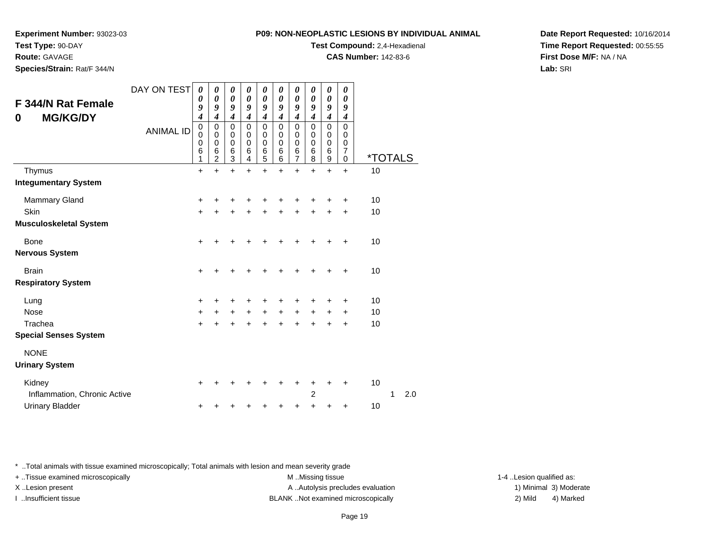**Experiment Number:** 93023-03

**Test Type:** 90-DAY

**Route:** GAVAGE

**Species/Strain:** Rat/F 344/N

**Test Compound:** 2,4-Hexadienal

**CAS Number:** 142-83-6

**Date Report Requested:** 10/16/2014**Time Report Requested:** 00:55:55**First Dose M/F:** NA / NA**Lab:** SRI

| F 344/N Rat Female<br><b>MG/KG/DY</b><br>0 | DAY ON TEST      | 0<br>0<br>9<br>$\boldsymbol{4}$           | 0<br>$\boldsymbol{\theta}$<br>9<br>4         | 0<br>$\boldsymbol{\theta}$<br>9<br>$\boldsymbol{4}$ | 0<br>$\boldsymbol{\theta}$<br>9<br>$\boldsymbol{4}$ | 0<br>$\boldsymbol{\theta}$<br>9<br>$\boldsymbol{4}$         | 0<br>0<br>9<br>4      | 0<br>0<br>9<br>$\boldsymbol{4}$        | 0<br>0<br>9<br>$\overline{\boldsymbol{4}}$ | 0<br>$\boldsymbol{\theta}$<br>9<br>4     | 0<br>0<br>9<br>$\boldsymbol{4}$                  |                       |   |     |
|--------------------------------------------|------------------|-------------------------------------------|----------------------------------------------|-----------------------------------------------------|-----------------------------------------------------|-------------------------------------------------------------|-----------------------|----------------------------------------|--------------------------------------------|------------------------------------------|--------------------------------------------------|-----------------------|---|-----|
|                                            | <b>ANIMAL ID</b> | $\mathbf 0$<br>0<br>$\mathbf 0$<br>6<br>1 | $\mathbf 0$<br>0<br>0<br>6<br>$\overline{2}$ | $\mathbf 0$<br>0<br>$\pmb{0}$<br>$\,6$<br>3         | $\mathbf 0$<br>0<br>$\mathbf 0$<br>6<br>4           | $\mathsf 0$<br>0<br>$\boldsymbol{0}$<br>$\overline{6}$<br>5 | 0<br>0<br>0<br>6<br>6 | $\mathbf 0$<br>0<br>0<br>$\frac{6}{7}$ | $\Omega$<br>0<br>$\mathbf 0$<br>6<br>8     | 0<br>0<br>$\boldsymbol{0}$<br>$\,6$<br>9 | $\mathbf 0$<br>0<br>$\mathbf 0$<br>7<br>$\Omega$ | <i><b>*TOTALS</b></i> |   |     |
| Thymus                                     |                  | $\ddot{}$                                 | +                                            | $\ddot{}$                                           | $\ddot{}$                                           | $\ddot{}$                                                   | +                     | $\ddot{}$                              | $\ddot{}$                                  | $\ddot{}$                                | $\ddot{}$                                        | 10                    |   |     |
| <b>Integumentary System</b>                |                  |                                           |                                              |                                                     |                                                     |                                                             |                       |                                        |                                            |                                          |                                                  |                       |   |     |
| <b>Mammary Gland</b>                       |                  | $\ddot{}$                                 | +                                            | +                                                   |                                                     |                                                             |                       |                                        |                                            |                                          | +                                                | 10                    |   |     |
| Skin                                       |                  | $\ddot{}$                                 | +                                            | +                                                   |                                                     | +                                                           |                       | +                                      |                                            |                                          | +                                                | 10                    |   |     |
| <b>Musculoskeletal System</b>              |                  |                                           |                                              |                                                     |                                                     |                                                             |                       |                                        |                                            |                                          |                                                  |                       |   |     |
| Bone                                       |                  | +                                         |                                              |                                                     |                                                     |                                                             |                       |                                        |                                            |                                          |                                                  | 10                    |   |     |
| <b>Nervous System</b>                      |                  |                                           |                                              |                                                     |                                                     |                                                             |                       |                                        |                                            |                                          |                                                  |                       |   |     |
| <b>Brain</b>                               |                  | +                                         | +                                            | +                                                   |                                                     |                                                             |                       |                                        |                                            |                                          |                                                  | 10                    |   |     |
| <b>Respiratory System</b>                  |                  |                                           |                                              |                                                     |                                                     |                                                             |                       |                                        |                                            |                                          |                                                  |                       |   |     |
| Lung                                       |                  | $\ddot{}$                                 | +                                            | +                                                   | ٠                                                   | $\ddot{}$                                                   | +                     | ٠                                      | +                                          |                                          | +                                                | 10                    |   |     |
| <b>Nose</b>                                |                  | $\ddot{}$                                 | +                                            | $+$                                                 | $+$                                                 | $+$                                                         | $+$                   | $+$                                    | $+$                                        | $\ddot{}$                                | $\ddot{}$                                        | 10                    |   |     |
| Trachea                                    |                  | $\ddot{}$                                 | ÷                                            | $\ddot{}$                                           |                                                     | $\ddot{}$                                                   | ÷                     | ÷                                      | ÷                                          | +                                        | $\ddot{}$                                        | 10                    |   |     |
| <b>Special Senses System</b>               |                  |                                           |                                              |                                                     |                                                     |                                                             |                       |                                        |                                            |                                          |                                                  |                       |   |     |
| <b>NONE</b>                                |                  |                                           |                                              |                                                     |                                                     |                                                             |                       |                                        |                                            |                                          |                                                  |                       |   |     |
| <b>Urinary System</b>                      |                  |                                           |                                              |                                                     |                                                     |                                                             |                       |                                        |                                            |                                          |                                                  |                       |   |     |
| Kidney                                     |                  | ٠                                         | +                                            | ٠                                                   |                                                     |                                                             |                       | ٠                                      | +                                          | +                                        | +                                                | 10                    |   |     |
| Inflammation, Chronic Active               |                  |                                           |                                              |                                                     |                                                     |                                                             |                       |                                        | 2                                          |                                          |                                                  |                       | 1 | 2.0 |
| <b>Urinary Bladder</b>                     |                  | +                                         | +                                            | +                                                   |                                                     | +                                                           | +                     | +                                      | +                                          | +                                        | +                                                | 10                    |   |     |

\* ..Total animals with tissue examined microscopically; Total animals with lesion and mean severity grade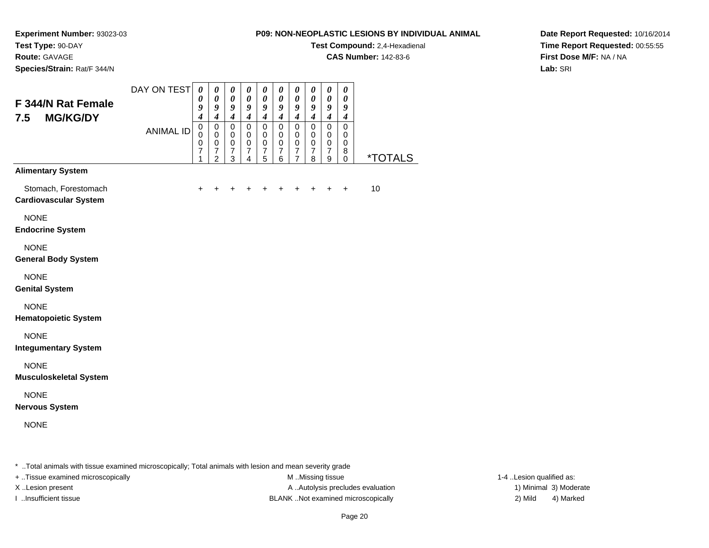**Test Compound:** 2,4-Hexadienal

**CAS Number:** 142-83-6

**Date Report Requested:** 10/16/2014**Time Report Requested:** 00:55:55**First Dose M/F:** NA / NA**Lab:** SRI

**Experiment Number:** 93023-03**Test Type:** 90-DAY**Route:** GAVAGE**Species/Strain:** Rat/F 344/N

#### DAY ON TEST**F 344/N Rat Female7.5 MG/KG/DY**ANIMAL ID*0 0 9 4* 0 0 0 7 1*0 0 9 4* 0 0 0 7 2*0 0 9 4* 0 0 0 7 3*0 0 9 4* 0 0 0 7 4*0 0 9 4* 0 0 0 7 5*0 0 9 4* 0 0 0 7 6*0 0 9 4* 0 0 0 7 7*0 0 9 4* 0 0 0 7 8*0 0 9 4* 0 0 0 7 9*0 0 9 4* 0 0 0 8 $\check{\mathrm{o}}$ 0 \*TOTALS**Alimentary System**Stomach, Forestomach $h \rightarrow$  <sup>+</sup> <sup>+</sup> <sup>+</sup> <sup>+</sup> <sup>+</sup> <sup>+</sup> <sup>+</sup> <sup>+</sup> + 10 **Cardiovascular System**NONE **Endocrine System**NONE **General Body System**NONE **Genital System**NONE **Hematopoietic System**NONE **Integumentary System**NONE **Musculoskeletal System**NONE **Nervous System**NONE

\* ..Total animals with tissue examined microscopically; Total animals with lesion and mean severity grade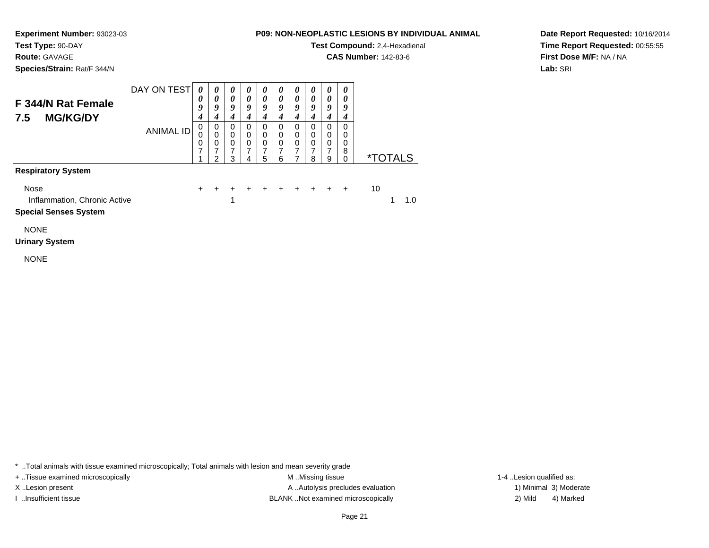**Test Type:** 90-DAY

**Route:** GAVAGE

**Species/Strain:** Rat/F 344/N

## **P09: NON-NEOPLASTIC LESIONS BY INDIVIDUAL ANIMAL**

**Test Compound:** 2,4-Hexadienal

**CAS Number:** 142-83-6

**Date Report Requested:** 10/16/2014**Time Report Requested:** 00:55:55**First Dose M/F:** NA / NA**Lab:** SRI

| F 344/N Rat Female<br><b>MG/KG/DY</b><br>7.5                         | DAY ON TEST      | 0<br>$\boldsymbol{\theta}$<br>9<br>4 | 0<br>0<br>9<br>4                | 0<br>0<br>9<br>4                   | 0<br>$\theta$<br>9<br>4 | 0<br>$\theta$<br>9<br>4 | 0<br>$\theta$<br>9<br>4                    | $\boldsymbol{\theta}$<br>$\boldsymbol{\theta}$<br>9<br>4 | 0<br>0<br>9<br>4                               | 0<br>0<br>9           | 0<br>0<br>9<br>4      |    |                       |     |
|----------------------------------------------------------------------|------------------|--------------------------------------|---------------------------------|------------------------------------|-------------------------|-------------------------|--------------------------------------------|----------------------------------------------------------|------------------------------------------------|-----------------------|-----------------------|----|-----------------------|-----|
|                                                                      | <b>ANIMAL ID</b> | 0<br>0<br>0<br>7<br>$\epsilon$       | 0<br>$\mathbf 0$<br>0<br>⇁<br>2 | 0<br>0<br>0<br>$\overline{7}$<br>3 | 0<br>0<br>0<br>7<br>4   | 0<br>0<br>0<br>7<br>5   | $\Omega$<br>$\Omega$<br>$\Omega$<br>7<br>6 | 0<br>0<br>0                                              | $\Omega$<br>$\Omega$<br>$\mathbf{0}$<br>7<br>8 | 0<br>0<br>0<br>7<br>9 | 0<br>0<br>0<br>8<br>0 |    | <i><b>*TOTALS</b></i> |     |
| <b>Respiratory System</b>                                            |                  |                                      |                                 |                                    |                         |                         |                                            |                                                          |                                                |                       |                       |    |                       |     |
| Nose<br>Inflammation, Chronic Active<br><b>Special Senses System</b> |                  | $\pm$                                |                                 | 1                                  |                         | $\pm$                   | $+$                                        | $+$ $+$ $+$                                              |                                                |                       | $\ddot{}$             | 10 |                       | 1.0 |
| <b>NONE</b>                                                          |                  |                                      |                                 |                                    |                         |                         |                                            |                                                          |                                                |                       |                       |    |                       |     |

NONE

**Urinary System**

\* ..Total animals with tissue examined microscopically; Total animals with lesion and mean severity grade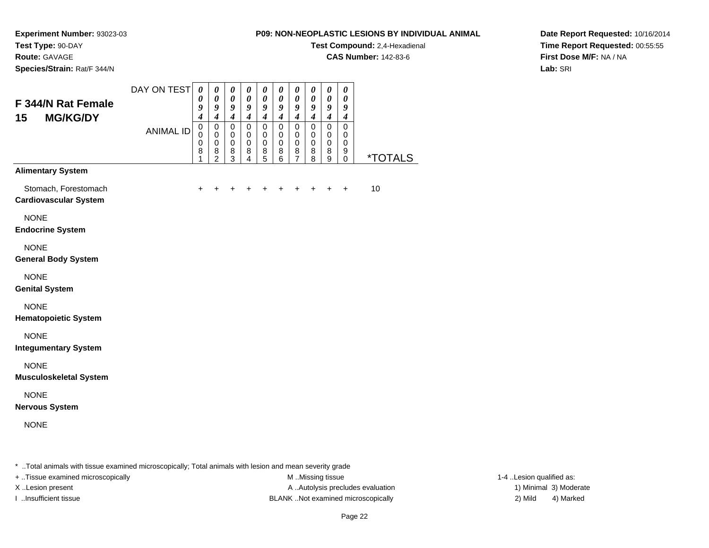**Experiment Number:** 93023-03**Test Type:** 90-DAY

**Route:** GAVAGE

**Species/Strain:** Rat/F 344/N

#### **P09: NON-NEOPLASTIC LESIONS BY INDIVIDUAL ANIMAL**

**Test Compound:** 2,4-Hexadienal

**CAS Number:** 142-83-6

**Date Report Requested:** 10/16/2014**Time Report Requested:** 00:55:55**First Dose M/F:** NA / NA**Lab:** SRI

| F 344/N Rat Female<br>15<br><b>MG/KG/DY</b>          | DAY ON TEST<br><b>ANIMAL ID</b> | $\boldsymbol{\theta}$<br>0<br>9<br>4<br>$\mathbf 0$<br>0 | $\pmb{\theta}$<br>$\pmb{\theta}$<br>$\boldsymbol{g}$<br>$\boldsymbol{4}$<br>$\pmb{0}$<br>$\pmb{0}$ | $\pmb{\theta}$<br>$\boldsymbol{\theta}$<br>9<br>$\boldsymbol{4}$<br>$\pmb{0}$<br>$\pmb{0}$ | $\pmb{\theta}$<br>$\boldsymbol{\theta}$<br>9<br>$\boldsymbol{4}$<br>$\pmb{0}$<br>$\,0\,$ | $\boldsymbol{\theta}$<br>$\boldsymbol{\theta}$<br>9<br>$\boldsymbol{4}$<br>$\pmb{0}$<br>0 | $\pmb{\theta}$<br>$\pmb{\theta}$<br>9<br>$\boldsymbol{4}$<br>$\mathsf 0$<br>$\mathbf 0$ | $\pmb{\theta}$<br>$\boldsymbol{\theta}$<br>9<br>$\boldsymbol{4}$<br>$\pmb{0}$<br>0 | $\pmb{\theta}$<br>0<br>9<br>$\boldsymbol{4}$<br>$\mathbf 0$<br>$\pmb{0}$ | $\boldsymbol{\theta}$<br>$\boldsymbol{\theta}$<br>9<br>$\boldsymbol{4}$<br>$\pmb{0}$<br>0 | $\boldsymbol{\theta}$<br>$\boldsymbol{\theta}$<br>9<br>$\boldsymbol{4}$<br>$\overline{0}$<br>$\pmb{0}$ |                       |
|------------------------------------------------------|---------------------------------|----------------------------------------------------------|----------------------------------------------------------------------------------------------------|--------------------------------------------------------------------------------------------|------------------------------------------------------------------------------------------|-------------------------------------------------------------------------------------------|-----------------------------------------------------------------------------------------|------------------------------------------------------------------------------------|--------------------------------------------------------------------------|-------------------------------------------------------------------------------------------|--------------------------------------------------------------------------------------------------------|-----------------------|
|                                                      |                                 | $\pmb{0}$<br>8<br>1                                      | $\pmb{0}$<br>$\bf8$<br>$\overline{2}$                                                              | $\pmb{0}$<br>8<br>3                                                                        | $\pmb{0}$<br>8<br>4                                                                      | $\mathbf 0$<br>8<br>5                                                                     | $\,0\,$<br>8<br>$\overline{6}$                                                          | $\mathbf 0$<br>8<br>$\overline{7}$                                                 | $\pmb{0}$<br>8<br>8                                                      | $\mathbf 0$<br>8<br>9                                                                     | $\pmb{0}$<br>9<br>$\mathbf 0$                                                                          | <i><b>*TOTALS</b></i> |
| <b>Alimentary System</b>                             |                                 |                                                          |                                                                                                    |                                                                                            |                                                                                          |                                                                                           |                                                                                         |                                                                                    |                                                                          |                                                                                           |                                                                                                        |                       |
| Stomach, Forestomach<br><b>Cardiovascular System</b> |                                 | $\ddot{}$                                                | $\ddot{}$                                                                                          | ٠                                                                                          | ٠                                                                                        | +                                                                                         | $\ddot{}$                                                                               | ٠                                                                                  | +                                                                        | $\ddot{}$                                                                                 | $\ddot{}$                                                                                              | 10                    |
| <b>NONE</b><br><b>Endocrine System</b>               |                                 |                                                          |                                                                                                    |                                                                                            |                                                                                          |                                                                                           |                                                                                         |                                                                                    |                                                                          |                                                                                           |                                                                                                        |                       |
| <b>NONE</b><br><b>General Body System</b>            |                                 |                                                          |                                                                                                    |                                                                                            |                                                                                          |                                                                                           |                                                                                         |                                                                                    |                                                                          |                                                                                           |                                                                                                        |                       |
| <b>NONE</b><br><b>Genital System</b>                 |                                 |                                                          |                                                                                                    |                                                                                            |                                                                                          |                                                                                           |                                                                                         |                                                                                    |                                                                          |                                                                                           |                                                                                                        |                       |
| <b>NONE</b><br><b>Hematopoietic System</b>           |                                 |                                                          |                                                                                                    |                                                                                            |                                                                                          |                                                                                           |                                                                                         |                                                                                    |                                                                          |                                                                                           |                                                                                                        |                       |
| <b>NONE</b><br><b>Integumentary System</b>           |                                 |                                                          |                                                                                                    |                                                                                            |                                                                                          |                                                                                           |                                                                                         |                                                                                    |                                                                          |                                                                                           |                                                                                                        |                       |
| <b>NONE</b><br><b>Musculoskeletal System</b>         |                                 |                                                          |                                                                                                    |                                                                                            |                                                                                          |                                                                                           |                                                                                         |                                                                                    |                                                                          |                                                                                           |                                                                                                        |                       |
| <b>NONE</b><br><b>Nervous System</b>                 |                                 |                                                          |                                                                                                    |                                                                                            |                                                                                          |                                                                                           |                                                                                         |                                                                                    |                                                                          |                                                                                           |                                                                                                        |                       |
| <b>NONE</b>                                          |                                 |                                                          |                                                                                                    |                                                                                            |                                                                                          |                                                                                           |                                                                                         |                                                                                    |                                                                          |                                                                                           |                                                                                                        |                       |
|                                                      |                                 |                                                          |                                                                                                    |                                                                                            |                                                                                          |                                                                                           |                                                                                         |                                                                                    |                                                                          |                                                                                           |                                                                                                        |                       |

\* ..Total animals with tissue examined microscopically; Total animals with lesion and mean severity grade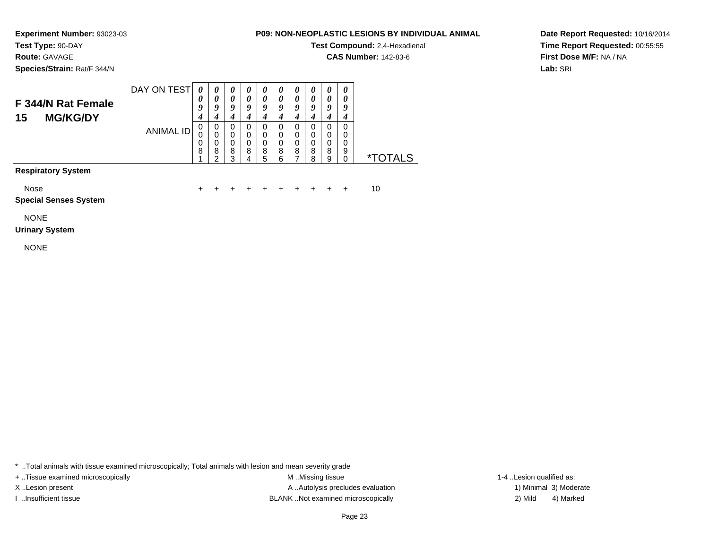**Test Type:** 90-DAY**Route:** GAVAGE

**Species/Strain:** Rat/F 344/N

### **P09: NON-NEOPLASTIC LESIONS BY INDIVIDUAL ANIMAL**

**Test Compound:** 2,4-Hexadienal

**CAS Number:** 142-83-6

**Date Report Requested:** 10/16/2014**Time Report Requested:** 00:55:55**First Dose M/F:** NA / NA**Lab:** SRI

#### DAY ON TEST**F 344/N Rat Female15 MG/KG/DY**ANIMAL ID*0 0 9 4* 0 0 0 8 1*0 0 9 4*0<br>0<br>0<br>2<br>2 *0 0 9 4* 0 0 0 8 3*0 0 9 4* 0 0 0 8 4*0 0 9 4* 0 0 0 8 5*0 0 9 4* 0 0 0 8 6*0 0 9 4* 0 0 0 8 7*0 0 9 4* 0 0 0 8 8*0 0 9 4*0<br>0<br>0<br>0<br>9<br>9 *0 0 9 4* 0 0 0 9 $\check{\mathrm{o}}$ \*TOTALS

**Respiratory System**

Nose

 $e$  + <sup>+</sup> <sup>+</sup> <sup>+</sup> <sup>+</sup> <sup>+</sup> <sup>+</sup> <sup>+</sup> <sup>+</sup> + 10

**Special Senses System**

NONE

#### **Urinary System**

NONE

\* ..Total animals with tissue examined microscopically; Total animals with lesion and mean severity grade

+ ..Tissue examined microscopically examined microscopically examined as:  $M$  ..Missing tissue 1-4 ..Lesion qualified as:

X..Lesion present **A ..Autolysis precludes evaluation** A ..Autolysis precludes evaluation 1) Minimal 3) Moderate I ..Insufficient tissue BLANK ..Not examined microscopically 2) Mild 4) Marked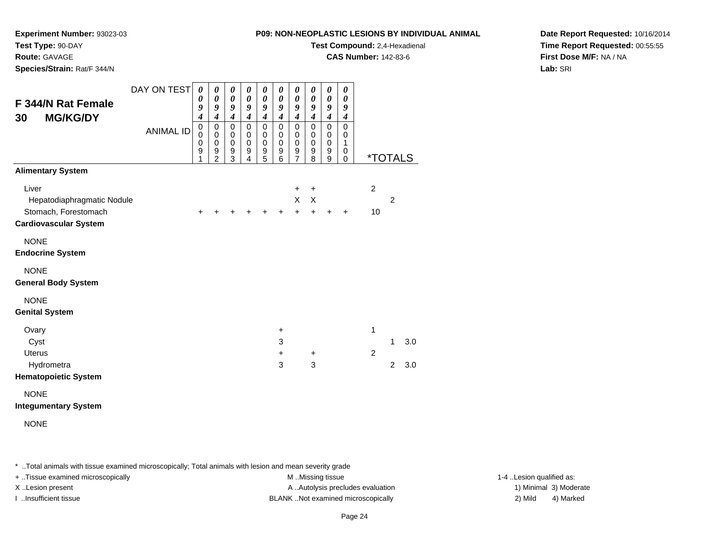**Experiment Number:** 93023-03

**Test Type:** 90-DAY**Route:** GAVAGE

**Species/Strain:** Rat/F 344/N

**Test Compound:** 2,4-Hexadienal

**CAS Number:** 142-83-6

**Date Report Requested:** 10/16/2014**Time Report Requested:** 00:55:55**First Dose M/F:** NA / NA**Lab:** SRI

| F 344/N Rat Female<br><b>MG/KG/DY</b><br>30                                                                             | DAY ON TEST<br><b>ANIMAL ID</b> | $\boldsymbol{\theta}$<br>0<br>9<br>4<br>0<br>0<br>0<br>9<br>1 | 0<br>0<br>9<br>$\boldsymbol{4}$<br>$\pmb{0}$<br>0<br>$\pmb{0}$<br>9<br>$\overline{2}$ | 0<br>$\boldsymbol{\theta}$<br>9<br>$\boldsymbol{4}$<br>$\mathbf 0$<br>0<br>0<br>9<br>3 | 0<br>0<br>9<br>$\boldsymbol{4}$<br>$\mathbf 0$<br>0<br>$\pmb{0}$<br>9<br>4 | 0<br>$\boldsymbol{\theta}$<br>9<br>$\boldsymbol{4}$<br>$\mathbf 0$<br>0<br>$\pmb{0}$<br>$\boldsymbol{9}$<br>5 | 0<br>0<br>9<br>$\boldsymbol{4}$<br>$\pmb{0}$<br>0<br>$\pmb{0}$<br>9<br>6 | 0<br>$\boldsymbol{\theta}$<br>9<br>$\boldsymbol{4}$<br>$\mathbf 0$<br>0<br>0<br>9<br>7 | 0<br>0<br>9<br>$\boldsymbol{4}$<br>$\mathbf 0$<br>0<br>0<br>9<br>8 | $\boldsymbol{\theta}$<br>$\boldsymbol{\theta}$<br>9<br>$\boldsymbol{4}$<br>$\pmb{0}$<br>0<br>$\pmb{0}$<br>9<br>$\boldsymbol{9}$ | 0<br>0<br>9<br>$\boldsymbol{4}$<br>$\mathbf 0$<br>0<br>1<br>0<br>$\mathbf 0$ |                      | <i><b>*TOTALS</b></i> |            |
|-------------------------------------------------------------------------------------------------------------------------|---------------------------------|---------------------------------------------------------------|---------------------------------------------------------------------------------------|----------------------------------------------------------------------------------------|----------------------------------------------------------------------------|---------------------------------------------------------------------------------------------------------------|--------------------------------------------------------------------------|----------------------------------------------------------------------------------------|--------------------------------------------------------------------|---------------------------------------------------------------------------------------------------------------------------------|------------------------------------------------------------------------------|----------------------|-----------------------|------------|
| <b>Alimentary System</b><br>Liver<br>Hepatodiaphragmatic Nodule<br>Stomach, Forestomach<br><b>Cardiovascular System</b> |                                 | +                                                             |                                                                                       |                                                                                        |                                                                            | +                                                                                                             | $\div$                                                                   | $\ddot{}$<br>X<br>$\ddot{}$                                                            | $\ddot{}$<br>X<br>$\ddot{}$                                        | $\ddot{}$                                                                                                                       | $\ddot{}$                                                                    | $\overline{c}$<br>10 | $\overline{2}$        |            |
| <b>NONE</b><br><b>Endocrine System</b><br><b>NONE</b><br><b>General Body System</b>                                     |                                 |                                                               |                                                                                       |                                                                                        |                                                                            |                                                                                                               |                                                                          |                                                                                        |                                                                    |                                                                                                                                 |                                                                              |                      |                       |            |
| <b>NONE</b><br><b>Genital System</b>                                                                                    |                                 |                                                               |                                                                                       |                                                                                        |                                                                            |                                                                                                               |                                                                          |                                                                                        |                                                                    |                                                                                                                                 |                                                                              |                      |                       |            |
| Ovary<br>Cyst<br><b>Uterus</b><br>Hydrometra<br><b>Hematopoietic System</b>                                             |                                 |                                                               |                                                                                       |                                                                                        |                                                                            |                                                                                                               | $\ddot{}$<br>3<br>$\ddot{}$<br>3                                         |                                                                                        | $\ddot{}$<br>3                                                     |                                                                                                                                 |                                                                              | 1<br>$\overline{c}$  | 1<br>$\overline{2}$   | 3.0<br>3.0 |

NONE

#### **Integumentary System**

NONE

\* ..Total animals with tissue examined microscopically; Total animals with lesion and mean severity grade

+ ..Tissue examined microscopically examined microscopically examined as:  $M$  ..Missing tissue 1-4 ..Lesion qualified as: X..Lesion present **A ..Autolysis precludes evaluation** A ..Autolysis precludes evaluation 1) Minimal 3) Moderate

I ..Insufficient tissue BLANK ..Not examined microscopically 2) Mild 4) Marked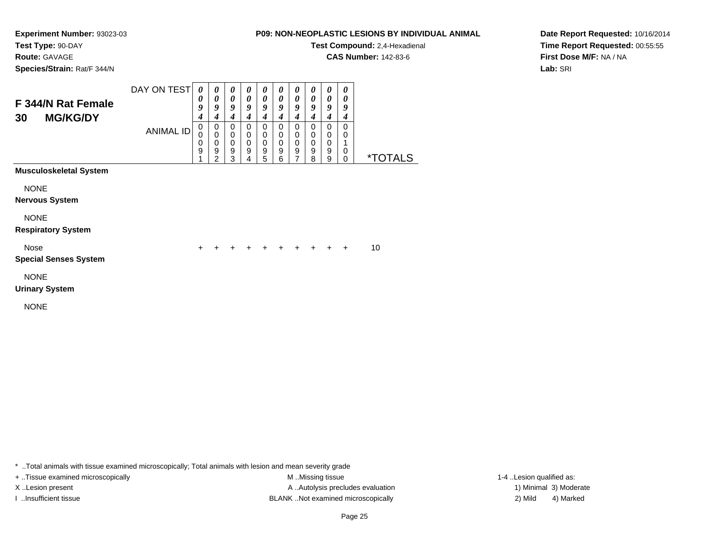# **Route:** GAVAGE

**Species/Strain:** Rat/F 344/N

### **P09: NON-NEOPLASTIC LESIONS BY INDIVIDUAL ANIMAL**

**Test Compound:** 2,4-Hexadienal

**CAS Number:** 142-83-6

**Date Report Requested:** 10/16/2014**Time Report Requested:** 00:55:55**First Dose M/F:** NA / NA**Lab:** SRI

| F 344/N Rat Female<br><b>MG/KG/DY</b><br>30 | DAY ON TEST<br><b>ANIMAL ID</b> | 0<br>0<br>9<br>4<br>0<br>0 | 0<br>0<br>9<br>$\boldsymbol{4}$<br>$\pmb{0}$<br>$\mathbf 0$ | 0<br>$\boldsymbol{\theta}$<br>9<br>4<br>0<br>0 | 0<br>0<br>9<br>4<br>0<br>$\mathbf 0$ | 0<br>$\boldsymbol{\theta}$<br>9<br>4<br>$\mathbf 0$<br>$\mathbf 0$ | 0<br>0<br>9<br>4<br>0<br>$\mathbf 0$ | 0<br>$\boldsymbol{\theta}$<br>9<br>4<br>$\mathbf 0$<br>$\mathbf 0$ | 0<br>0<br>9<br>4<br>0<br>$\mathbf 0$ | 0<br>$\boldsymbol{\theta}$<br>9<br>$\boldsymbol{4}$<br>$\mathbf 0$<br>$\mathbf 0$ | 0<br>0<br>9<br>4<br>$\mathbf 0$<br>0 |                       |  |
|---------------------------------------------|---------------------------------|----------------------------|-------------------------------------------------------------|------------------------------------------------|--------------------------------------|--------------------------------------------------------------------|--------------------------------------|--------------------------------------------------------------------|--------------------------------------|-----------------------------------------------------------------------------------|--------------------------------------|-----------------------|--|
|                                             |                                 | 0<br>9                     | $\boldsymbol{0}$<br>9<br>$\overline{2}$                     | $\pmb{0}$<br>9<br>3                            | $\mathbf 0$<br>9<br>4                | $\mathbf 0$<br>$\boldsymbol{9}$<br>$\sqrt{5}$                      | $\mathbf 0$<br>9<br>6                | $\mathbf 0$<br>$\boldsymbol{9}$<br>7                               | $\mathbf 0$<br>9<br>8                | $\,0\,$<br>9<br>9                                                                 | $\mathbf 0$<br>$\Omega$              | <i><b>*TOTALS</b></i> |  |
| <b>Musculoskeletal System</b>               |                                 |                            |                                                             |                                                |                                      |                                                                    |                                      |                                                                    |                                      |                                                                                   |                                      |                       |  |
| <b>NONE</b><br><b>Nervous System</b>        |                                 |                            |                                                             |                                                |                                      |                                                                    |                                      |                                                                    |                                      |                                                                                   |                                      |                       |  |
| <b>NONE</b>                                 |                                 |                            |                                                             |                                                |                                      |                                                                    |                                      |                                                                    |                                      |                                                                                   |                                      |                       |  |
| <b>Respiratory System</b>                   |                                 |                            |                                                             |                                                |                                      |                                                                    |                                      |                                                                    |                                      |                                                                                   |                                      |                       |  |
| Nose<br><b>Special Senses System</b>        |                                 | $\ddot{}$                  | $\ddot{}$                                                   | $\ddot{}$                                      | $\ddot{}$                            | $\ddot{}$                                                          | $+$                                  | $\ddot{}$                                                          | $\ddot{}$                            | $+$                                                                               | $\ddot{}$                            | 10                    |  |
| <b>NONE</b><br><b>Urinary System</b>        |                                 |                            |                                                             |                                                |                                      |                                                                    |                                      |                                                                    |                                      |                                                                                   |                                      |                       |  |
| <b>NONE</b>                                 |                                 |                            |                                                             |                                                |                                      |                                                                    |                                      |                                                                    |                                      |                                                                                   |                                      |                       |  |

\* ..Total animals with tissue examined microscopically; Total animals with lesion and mean severity grade

+ ..Tissue examined microscopically examined microscopically examined as:  $M$  ..Missing tissue 1-4 ..Lesion qualified as: X..Lesion present **A ..Autolysis precludes evaluation** A ..Autolysis precludes evaluation 1) Minimal 3) Moderate I ..Insufficient tissue 2) Mild and the SLANK ..Not examined microscopically and the SLANK ... Insufficient tissue

4) Marked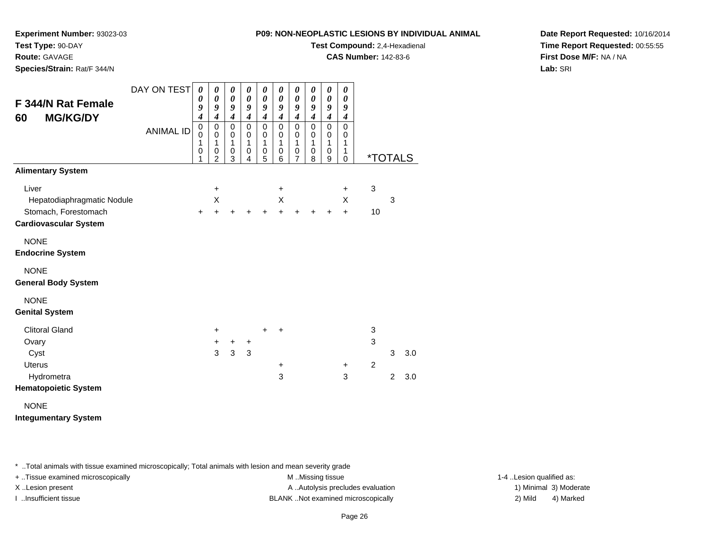**Experiment Number:** 93023-03

**Test Type:** 90-DAY**Route:** GAVAGE

**Species/Strain:** Rat/F 344/N

**Test Compound:** 2,4-Hexadienal

**CAS Number:** 142-83-6

**Date Report Requested:** 10/16/2014**Time Report Requested:** 00:55:55**First Dose M/F:** NA / NA**Lab:** SRI

| F 344/N Rat Female<br><b>MG/KG/DY</b><br>60 | DAY ON TEST<br><b>ANIMAL ID</b> | 0<br>0<br>9<br>$\boldsymbol{4}$<br>0<br>0<br>1<br>0<br>1 | 0<br>$\pmb{\theta}$<br>9<br>4<br>0<br>0<br>1<br>0<br>$\overline{2}$ | 0<br>$\boldsymbol{\theta}$<br>9<br>$\overline{\boldsymbol{4}}$<br>$\mathbf 0$<br>0<br>1<br>0<br>3 | 0<br>$\boldsymbol{\theta}$<br>9<br>$\boldsymbol{4}$<br>$\mathbf 0$<br>$\mathbf 0$<br>1<br>$\pmb{0}$<br>4 | 0<br>$\boldsymbol{\theta}$<br>9<br>$\boldsymbol{4}$<br>$\mathbf 0$<br>0<br>1<br>0<br>5 | $\boldsymbol{\theta}$<br>0<br>9<br>$\boldsymbol{4}$<br>$\mathbf 0$<br>0<br>1<br>$\mathbf 0$<br>6 | 0<br>$\boldsymbol{\theta}$<br>9<br>$\boldsymbol{4}$<br>$\mathbf 0$<br>0<br>$\mathbf{1}$<br>0<br>$\overline{7}$ | 0<br>0<br>9<br>$\boldsymbol{4}$<br>$\mathbf 0$<br>$\mathbf 0$<br>$\mathbf{1}$<br>$\mathbf 0$<br>8 | 0<br>0<br>9<br>$\boldsymbol{4}$<br>$\mathbf 0$<br>0<br>$\mathbf{1}$<br>$\mathbf 0$<br>9 | 0<br>0<br>9<br>$\boldsymbol{4}$<br>$\mathbf 0$<br>0<br>1<br>1<br>0 | <i><b>*TOTALS</b></i> |                |     |
|---------------------------------------------|---------------------------------|----------------------------------------------------------|---------------------------------------------------------------------|---------------------------------------------------------------------------------------------------|----------------------------------------------------------------------------------------------------------|----------------------------------------------------------------------------------------|--------------------------------------------------------------------------------------------------|----------------------------------------------------------------------------------------------------------------|---------------------------------------------------------------------------------------------------|-----------------------------------------------------------------------------------------|--------------------------------------------------------------------|-----------------------|----------------|-----|
| <b>Alimentary System</b><br>Liver           |                                 |                                                          | +                                                                   |                                                                                                   |                                                                                                          |                                                                                        | $\ddot{}$                                                                                        |                                                                                                                |                                                                                                   |                                                                                         | $\ddot{}$                                                          | $\mathbf 3$           |                |     |
| Hepatodiaphragmatic Nodule                  |                                 |                                                          | X                                                                   |                                                                                                   |                                                                                                          |                                                                                        | Χ                                                                                                |                                                                                                                |                                                                                                   |                                                                                         | X                                                                  |                       | 3              |     |
| Stomach, Forestomach                        |                                 | $\pm$                                                    | $\ddot{}$                                                           | +                                                                                                 | $\ddot{}$                                                                                                | $\ddot{}$                                                                              | $+$                                                                                              | $\div$                                                                                                         | +                                                                                                 | $\ddot{}$                                                                               | $\ddot{}$                                                          | 10                    |                |     |
| <b>Cardiovascular System</b>                |                                 |                                                          |                                                                     |                                                                                                   |                                                                                                          |                                                                                        |                                                                                                  |                                                                                                                |                                                                                                   |                                                                                         |                                                                    |                       |                |     |
| <b>NONE</b><br><b>Endocrine System</b>      |                                 |                                                          |                                                                     |                                                                                                   |                                                                                                          |                                                                                        |                                                                                                  |                                                                                                                |                                                                                                   |                                                                                         |                                                                    |                       |                |     |
| <b>NONE</b><br><b>General Body System</b>   |                                 |                                                          |                                                                     |                                                                                                   |                                                                                                          |                                                                                        |                                                                                                  |                                                                                                                |                                                                                                   |                                                                                         |                                                                    |                       |                |     |
| <b>NONE</b><br><b>Genital System</b>        |                                 |                                                          |                                                                     |                                                                                                   |                                                                                                          |                                                                                        |                                                                                                  |                                                                                                                |                                                                                                   |                                                                                         |                                                                    |                       |                |     |
| <b>Clitoral Gland</b>                       |                                 |                                                          | +                                                                   |                                                                                                   |                                                                                                          | $\ddot{}$                                                                              | ÷                                                                                                |                                                                                                                |                                                                                                   |                                                                                         |                                                                    | 3                     |                |     |
| Ovary                                       |                                 |                                                          | +                                                                   | +                                                                                                 | $\ddot{}$                                                                                                |                                                                                        |                                                                                                  |                                                                                                                |                                                                                                   |                                                                                         |                                                                    | $\mathfrak{S}$        |                |     |
| Cyst                                        |                                 |                                                          | 3                                                                   | 3                                                                                                 | 3                                                                                                        |                                                                                        |                                                                                                  |                                                                                                                |                                                                                                   |                                                                                         |                                                                    |                       | 3              | 3.0 |
| <b>Uterus</b>                               |                                 |                                                          |                                                                     |                                                                                                   |                                                                                                          |                                                                                        | $\ddot{}$                                                                                        |                                                                                                                |                                                                                                   |                                                                                         | +                                                                  | 2                     |                |     |
| Hydrometra<br><b>Hematopoietic System</b>   |                                 |                                                          |                                                                     |                                                                                                   |                                                                                                          |                                                                                        | 3                                                                                                |                                                                                                                |                                                                                                   |                                                                                         | 3                                                                  |                       | $\overline{2}$ | 3.0 |

NONE

**Integumentary System**

\* ..Total animals with tissue examined microscopically; Total animals with lesion and mean severity grade

+ ..Tissue examined microscopically examined microscopically examined as:  $M$  ..Missing tissue 1-4 ..Lesion qualified as: X..Lesion present **A ..Autolysis precludes evaluation** A ..Autolysis precludes evaluation 1) Minimal 3) Moderate

I ..Insufficient tissue BLANK ..Not examined microscopically 2) Mild 4) Marked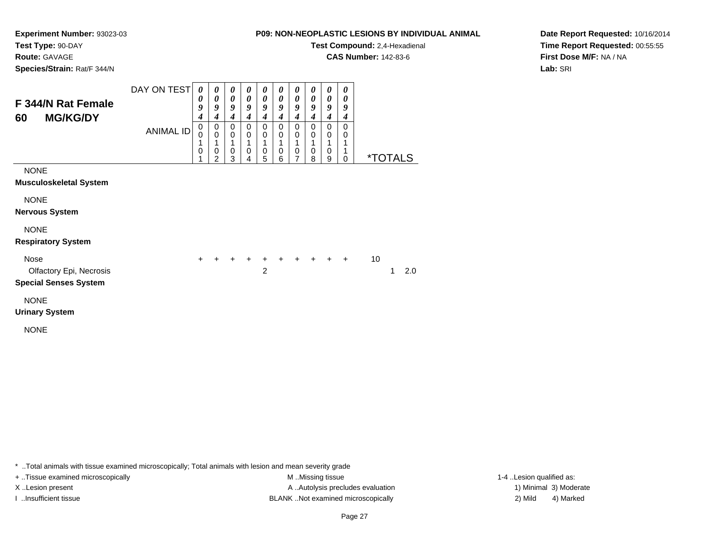**Test Compound:** 2,4-Hexadienal

**CAS Number:** 142-83-6

**Date Report Requested:** 10/16/2014**Time Report Requested:** 00:55:55**First Dose M/F:** NA / NA**Lab:** SRI

**Experiment Number:** 93023-03**Test Type:** 90-DAY**Route:** GAVAGE**Species/Strain:** Rat/F 344/N

| <b>F 344/N Rat Female</b><br><b>MG/KG/DY</b><br>60                     | DAY ON TEST<br><b>ANIMAL ID</b> | $\boldsymbol{\theta}$<br>0<br>9<br>$\boldsymbol{4}$<br>$\mathbf 0$<br>$\mathbf 0$<br>1<br>0 | $\boldsymbol{\theta}$<br>$\boldsymbol{\theta}$<br>9<br>4<br>$\mathbf 0$<br>$\mathbf 0$<br>1<br>0<br>$\overline{2}$ | 0<br>$\boldsymbol{\theta}$<br>9<br>4<br>0<br>$\mathbf 0$<br>1<br>0<br>3 | $\boldsymbol{\theta}$<br>$\boldsymbol{\theta}$<br>9<br>$\boldsymbol{4}$<br>0<br>$\pmb{0}$<br>1<br>$\mathbf 0$<br>4 | 0<br>$\boldsymbol{\theta}$<br>9<br>$\boldsymbol{4}$<br>$\Omega$<br>0<br>1<br>0<br>5 | 0<br>$\boldsymbol{\theta}$<br>9<br>4<br>$\Omega$<br>0<br>1<br>$\pmb{0}$<br>6 | 0<br>0<br>9<br>$\boldsymbol{4}$<br>0<br>0<br>1<br>0<br>$\overline{7}$ | 0<br>$\boldsymbol{\theta}$<br>9<br>4<br>0<br>0<br>1<br>0<br>8 | 0<br>$\boldsymbol{\theta}$<br>9<br>$\boldsymbol{4}$<br>$\mathbf 0$<br>0<br>1<br>0<br>9 | 0<br>$\boldsymbol{\theta}$<br>9<br>4<br>$\Omega$<br>0<br>1<br>1<br>0 | <i><b>*TOTALS</b></i> |          |
|------------------------------------------------------------------------|---------------------------------|---------------------------------------------------------------------------------------------|--------------------------------------------------------------------------------------------------------------------|-------------------------------------------------------------------------|--------------------------------------------------------------------------------------------------------------------|-------------------------------------------------------------------------------------|------------------------------------------------------------------------------|-----------------------------------------------------------------------|---------------------------------------------------------------|----------------------------------------------------------------------------------------|----------------------------------------------------------------------|-----------------------|----------|
| <b>NONE</b><br><b>Musculoskeletal System</b>                           |                                 |                                                                                             |                                                                                                                    |                                                                         |                                                                                                                    |                                                                                     |                                                                              |                                                                       |                                                               |                                                                                        |                                                                      |                       |          |
| <b>NONE</b><br><b>Nervous System</b>                                   |                                 |                                                                                             |                                                                                                                    |                                                                         |                                                                                                                    |                                                                                     |                                                                              |                                                                       |                                                               |                                                                                        |                                                                      |                       |          |
| <b>NONE</b><br><b>Respiratory System</b>                               |                                 |                                                                                             |                                                                                                                    |                                                                         |                                                                                                                    |                                                                                     |                                                                              |                                                                       |                                                               |                                                                                        |                                                                      |                       |          |
| <b>Nose</b><br>Olfactory Epi, Necrosis<br><b>Special Senses System</b> |                                 | $+$                                                                                         | $+$                                                                                                                | $+$                                                                     | $\ddot{}$                                                                                                          | $+$<br>$\overline{2}$                                                               | $+$                                                                          | $+$                                                                   |                                                               | $+$ $+$ $+$                                                                            |                                                                      | 10                    | 2.0<br>1 |
| <b>NONE</b><br><b>Urinary System</b><br><b>NONE</b>                    |                                 |                                                                                             |                                                                                                                    |                                                                         |                                                                                                                    |                                                                                     |                                                                              |                                                                       |                                                               |                                                                                        |                                                                      |                       |          |

\* ..Total animals with tissue examined microscopically; Total animals with lesion and mean severity grade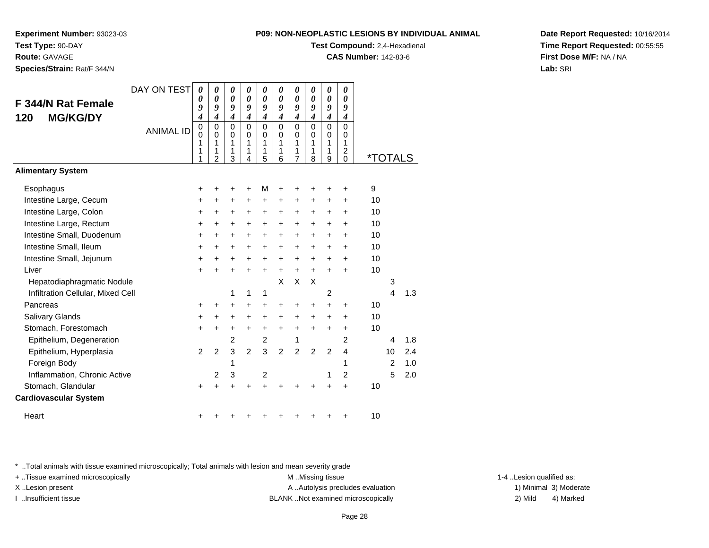**Test Compound:** 2,4-Hexadienal

**CAS Number:** 142-83-6

**Date Report Requested:** 10/16/2014**Time Report Requested:** 00:55:55**First Dose M/F:** NA / NA**Lab:** SRI

# **Experiment Number:** 93023-03**Test Type:** 90-DAY**Route:** GAVAGE**Species/Strain:** Rat/F 344/N

| <b>F 344/N Rat Female</b><br><b>MG/KG/DY</b><br>120 | DAY ON TEST<br><b>ANIMAL ID</b> | 0<br>0<br>9<br>4<br>0 | $\boldsymbol{\theta}$<br>0<br>9<br>$\boldsymbol{4}$<br>0 | $\boldsymbol{\theta}$<br>$\boldsymbol{\theta}$<br>9<br>$\boldsymbol{4}$<br>0 | $\boldsymbol{\theta}$<br>$\boldsymbol{\theta}$<br>9<br>$\boldsymbol{4}$<br>$\mathbf 0$ | $\boldsymbol{\theta}$<br>$\boldsymbol{\theta}$<br>9<br>$\boldsymbol{4}$<br>$\mathbf 0$ | 0<br>$\boldsymbol{\theta}$<br>9<br>$\boldsymbol{4}$<br>$\mathbf 0$ | $\pmb{\theta}$<br>$\boldsymbol{\theta}$<br>9<br>$\boldsymbol{4}$<br>$\mathbf 0$ | 0<br>0<br>9<br>$\boldsymbol{4}$<br>$\Omega$ | $\boldsymbol{\theta}$<br>$\boldsymbol{\theta}$<br>9<br>$\boldsymbol{4}$<br>$\mathbf 0$ | $\boldsymbol{\theta}$<br>0<br>9<br>$\boldsymbol{4}$<br>$\Omega$ |    |                       |     |
|-----------------------------------------------------|---------------------------------|-----------------------|----------------------------------------------------------|------------------------------------------------------------------------------|----------------------------------------------------------------------------------------|----------------------------------------------------------------------------------------|--------------------------------------------------------------------|---------------------------------------------------------------------------------|---------------------------------------------|----------------------------------------------------------------------------------------|-----------------------------------------------------------------|----|-----------------------|-----|
|                                                     |                                 | 0<br>1<br>1<br>1      | $\mathbf 0$<br>1<br>1<br>$\overline{2}$                  | 0<br>1<br>1<br>3                                                             | $\mathbf 0$<br>1<br>1<br>4                                                             | 0<br>1<br>1<br>5                                                                       | 0<br>1<br>1<br>6                                                   | 0<br>1<br>1<br>$\overline{7}$                                                   | 0<br>1<br>1<br>8                            | $\pmb{0}$<br>1<br>1<br>9                                                               | 0<br>1<br>$\overline{\mathbf{c}}$<br>$\mathbf 0$                |    | <i><b>*TOTALS</b></i> |     |
| <b>Alimentary System</b>                            |                                 |                       |                                                          |                                                                              |                                                                                        |                                                                                        |                                                                    |                                                                                 |                                             |                                                                                        |                                                                 |    |                       |     |
| Esophagus                                           |                                 | +                     | +                                                        | +                                                                            | $\ddot{}$                                                                              | M                                                                                      | +                                                                  | +                                                                               | +                                           | +                                                                                      | +                                                               | 9  |                       |     |
| Intestine Large, Cecum                              |                                 | +                     | $\ddot{}$                                                | +                                                                            | $\ddot{}$                                                                              | $\ddot{}$                                                                              | $\ddot{}$                                                          | +                                                                               | $\ddot{}$                                   | +                                                                                      | $\ddot{}$                                                       | 10 |                       |     |
| Intestine Large, Colon                              |                                 | +                     | +                                                        | +                                                                            | +                                                                                      | +                                                                                      | +                                                                  | +                                                                               | $\ddot{}$                                   | +                                                                                      | +                                                               | 10 |                       |     |
| Intestine Large, Rectum                             |                                 | +                     | $\ddot{}$                                                | $\ddot{}$                                                                    | $\ddot{}$                                                                              | $\ddot{}$                                                                              | $\ddot{}$                                                          | +                                                                               | $\ddot{}$                                   | $\ddot{}$                                                                              | $\ddot{}$                                                       | 10 |                       |     |
| Intestine Small, Duodenum                           |                                 | +                     | $\pm$                                                    | $\ddot{}$                                                                    | $\ddot{}$                                                                              | $\ddot{}$                                                                              | +                                                                  | +                                                                               | $\ddot{}$                                   | $\ddot{}$                                                                              | $\ddot{}$                                                       | 10 |                       |     |
| Intestine Small, Ileum                              |                                 | +                     | $\ddot{}$                                                | +                                                                            | +                                                                                      | $\ddot{}$                                                                              | $\ddot{}$                                                          | +                                                                               | $\ddot{}$                                   | +                                                                                      | $\ddot{}$                                                       | 10 |                       |     |
| Intestine Small, Jejunum                            |                                 | +                     | $\ddot{}$                                                | $\ddot{}$                                                                    | $\ddot{}$                                                                              | $\ddot{}$                                                                              | $\ddot{}$                                                          | +                                                                               | $\ddot{}$                                   | +                                                                                      | $\ddot{}$                                                       | 10 |                       |     |
| Liver                                               |                                 | $\ddot{}$             | $\ddot{}$                                                | $\ddot{}$                                                                    | $\ddot{}$                                                                              | $\ddot{}$                                                                              | $\ddot{}$                                                          | $\ddot{}$                                                                       | $\ddot{}$                                   | $\ddot{}$                                                                              | $\ddot{}$                                                       | 10 |                       |     |
| Hepatodiaphragmatic Nodule                          |                                 |                       |                                                          |                                                                              |                                                                                        |                                                                                        | X                                                                  | X                                                                               | X                                           |                                                                                        |                                                                 |    | 3                     |     |
| Infiltration Cellular, Mixed Cell                   |                                 |                       |                                                          | 1                                                                            | 1                                                                                      | 1                                                                                      |                                                                    |                                                                                 |                                             | 2                                                                                      |                                                                 |    | 4                     | 1.3 |
| Pancreas                                            |                                 | +                     | +                                                        | $\ddot{}$                                                                    | +                                                                                      | +                                                                                      | +                                                                  | +                                                                               | +                                           | +                                                                                      | +                                                               | 10 |                       |     |
| Salivary Glands                                     |                                 | +                     | $\pm$                                                    | $\ddot{}$                                                                    | $\ddot{}$                                                                              | $\ddot{}$                                                                              | +                                                                  | +                                                                               | $\ddot{}$                                   | +                                                                                      | $\ddot{}$                                                       | 10 |                       |     |
| Stomach, Forestomach                                |                                 | +                     | +                                                        | +                                                                            | $\ddot{}$                                                                              | $\ddot{}$                                                                              | $\ddot{}$                                                          | $\ddot{}$                                                                       | $\ddot{}$                                   | +                                                                                      | $\ddot{}$                                                       | 10 |                       |     |
| Epithelium, Degeneration                            |                                 |                       |                                                          | 2                                                                            |                                                                                        | $\overline{c}$                                                                         |                                                                    | 1                                                                               |                                             |                                                                                        | 2                                                               |    | 4                     | 1.8 |
| Epithelium, Hyperplasia                             |                                 | 2                     | $\overline{2}$                                           | 3                                                                            | $\overline{2}$                                                                         | 3                                                                                      | $\overline{2}$                                                     | $\overline{2}$                                                                  | $\overline{2}$                              | $\overline{2}$                                                                         | $\overline{4}$                                                  |    | 10                    | 2.4 |
| Foreign Body                                        |                                 |                       |                                                          | 1                                                                            |                                                                                        |                                                                                        |                                                                    |                                                                                 |                                             |                                                                                        | 1                                                               |    | $\overline{2}$        | 1.0 |
| Inflammation, Chronic Active                        |                                 |                       | $\overline{2}$                                           | 3                                                                            |                                                                                        | $\overline{c}$                                                                         |                                                                    |                                                                                 |                                             | 1                                                                                      | $\overline{2}$                                                  |    | 5                     | 2.0 |
| Stomach, Glandular                                  |                                 | $\ddot{}$             |                                                          | +                                                                            |                                                                                        |                                                                                        |                                                                    |                                                                                 |                                             | +                                                                                      | $\ddot{}$                                                       | 10 |                       |     |
| <b>Cardiovascular System</b>                        |                                 |                       |                                                          |                                                                              |                                                                                        |                                                                                        |                                                                    |                                                                                 |                                             |                                                                                        |                                                                 |    |                       |     |
| Heart                                               |                                 | ٠                     |                                                          |                                                                              |                                                                                        |                                                                                        |                                                                    |                                                                                 |                                             | +                                                                                      | +                                                               | 10 |                       |     |

\* ..Total animals with tissue examined microscopically; Total animals with lesion and mean severity grade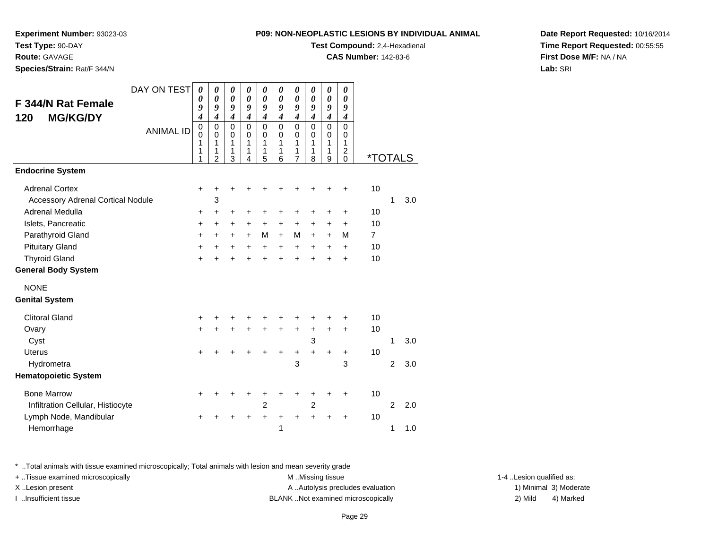**Experiment Number:** 93023-03

**Test Type:** 90-DAY**Route:** GAVAGE

**Species/Strain:** Rat/F 344/N

**Test Compound:** 2,4-Hexadienal

**CAS Number:** 142-83-6

**Date Report Requested:** 10/16/2014**Time Report Requested:** 00:55:55**First Dose M/F:** NA / NA**Lab:** SRI

| DAY ON TEST                              | $\boldsymbol{\theta}$    | 0                          | $\boldsymbol{\theta}$      | 0                          | $\pmb{\theta}$             | 0                       | $\boldsymbol{\theta}$      | 0                          | $\pmb{\theta}$             | 0                                |                       |                |     |
|------------------------------------------|--------------------------|----------------------------|----------------------------|----------------------------|----------------------------|-------------------------|----------------------------|----------------------------|----------------------------|----------------------------------|-----------------------|----------------|-----|
| <b>F 344/N Rat Female</b>                | 0<br>9                   | $\boldsymbol{\theta}$<br>9 | $\boldsymbol{\theta}$<br>9 | 0<br>9                     | $\boldsymbol{\theta}$<br>9 | $\theta$<br>9           | $\boldsymbol{\theta}$<br>9 | 0<br>9                     | $\boldsymbol{\theta}$<br>9 | $\theta$<br>9                    |                       |                |     |
| <b>MG/KG/DY</b><br>120                   | $\boldsymbol{4}$         | $\boldsymbol{4}$           | $\boldsymbol{4}$           | $\boldsymbol{4}$           | $\boldsymbol{4}$           | $\boldsymbol{4}$        | $\boldsymbol{4}$           | $\boldsymbol{4}$           | $\boldsymbol{4}$           | 4                                |                       |                |     |
| <b>ANIMAL ID</b>                         | $\pmb{0}$<br>$\mathbf 0$ | $\mathbf 0$<br>$\mathbf 0$ | $\mathbf 0$<br>$\mathbf 0$ | $\mathbf 0$<br>$\mathbf 0$ | $\pmb{0}$<br>$\mathbf 0$   | $\mathbf 0$<br>$\Omega$ | $\mathbf 0$<br>$\mathbf 0$ | $\mathbf 0$<br>$\mathbf 0$ | $\mathbf 0$<br>$\mathbf 0$ | $\mathbf 0$<br>$\mathbf 0$       |                       |                |     |
|                                          | 1                        | 1                          | 1                          | 1                          | 1                          | 1                       | 1                          | 1                          | 1                          | 1                                |                       |                |     |
|                                          | 1<br>1                   | 1<br>$\overline{2}$        | 1<br>3                     | 1<br>4                     | 1<br>5                     | 1<br>6                  | 1<br>$\overline{7}$        | 1<br>8                     | 1<br>9                     | $\overline{c}$<br>$\overline{0}$ | <i><b>*TOTALS</b></i> |                |     |
| <b>Endocrine System</b>                  |                          |                            |                            |                            |                            |                         |                            |                            |                            |                                  |                       |                |     |
| <b>Adrenal Cortex</b>                    | $\ddot{}$                | +                          | $\ddot{}$                  |                            | +                          | +                       | +                          |                            | +                          | $\ddot{}$                        | 10                    |                |     |
| <b>Accessory Adrenal Cortical Nodule</b> |                          | 3                          |                            |                            |                            |                         |                            |                            |                            |                                  |                       | 1              | 3.0 |
| Adrenal Medulla                          | $\ddot{}$                | +                          | +                          | +                          | +                          | +                       | +                          | +                          | $\ddot{}$                  | $\ddot{}$                        | 10                    |                |     |
| Islets, Pancreatic                       | $\ddot{}$                | $\ddot{}$                  | +                          | +                          | +                          | +                       | +                          | +                          | $\ddot{}$                  | $\ddot{}$                        | 10                    |                |     |
| Parathyroid Gland                        | +                        | $\ddot{}$                  | $\ddot{}$                  | $+$                        | М                          | $+$                     | M                          | $+$                        | $\ddot{}$                  | M                                | $\overline{7}$        |                |     |
| <b>Pituitary Gland</b>                   | $\ddot{}$                | $\ddot{}$                  | $\ddot{}$                  | $\ddot{}$                  | $+$                        | $+$                     | $+$                        | $+$                        | $+$                        | $\ddot{}$                        | 10                    |                |     |
| <b>Thyroid Gland</b>                     | $\ddot{}$                |                            | $\ddot{}$                  | ÷                          | $\ddot{}$                  | $\ddot{}$               | $\ddot{}$                  | $\ddot{}$                  | $+$                        | $\ddot{}$                        | 10                    |                |     |
| <b>General Body System</b>               |                          |                            |                            |                            |                            |                         |                            |                            |                            |                                  |                       |                |     |
| <b>NONE</b>                              |                          |                            |                            |                            |                            |                         |                            |                            |                            |                                  |                       |                |     |
| <b>Genital System</b>                    |                          |                            |                            |                            |                            |                         |                            |                            |                            |                                  |                       |                |     |
| <b>Clitoral Gland</b>                    | +                        |                            |                            |                            |                            |                         |                            |                            |                            | +                                | 10                    |                |     |
| Ovary                                    | $\ddot{}$                |                            | $\ddot{}$                  | $\ddot{}$                  | $\ddot{}$                  | $\ddot{}$               | $\ddot{}$                  | $\ddot{}$                  | $\ddot{}$                  | $\ddot{}$                        | 10                    |                |     |
| Cyst                                     |                          |                            |                            |                            |                            |                         |                            | 3                          |                            |                                  |                       | 1              | 3.0 |
| <b>Uterus</b>                            | $\ddot{}$                |                            |                            |                            | +                          | $\ddot{}$               | $\ddot{}$                  | $\ddot{}$                  | +                          | +                                | 10                    |                |     |
| Hydrometra                               |                          |                            |                            |                            |                            |                         | 3                          |                            |                            | 3                                |                       | $\overline{2}$ | 3.0 |
| <b>Hematopoietic System</b>              |                          |                            |                            |                            |                            |                         |                            |                            |                            |                                  |                       |                |     |
| <b>Bone Marrow</b>                       | +                        |                            |                            |                            | +                          |                         | +                          |                            |                            | +                                | 10                    |                |     |
| Infiltration Cellular, Histiocyte        |                          |                            |                            |                            | $\overline{c}$             |                         |                            | $\overline{2}$             |                            |                                  |                       | $\overline{2}$ | 2.0 |
| Lymph Node, Mandibular                   |                          |                            |                            |                            | +                          | +                       | $\ddot{}$                  | $\ddot{}$                  | +                          | +                                | 10                    |                |     |
| Hemorrhage                               |                          |                            |                            |                            |                            | 1                       |                            |                            |                            |                                  |                       | 1              | 1.0 |

\* ..Total animals with tissue examined microscopically; Total animals with lesion and mean severity grade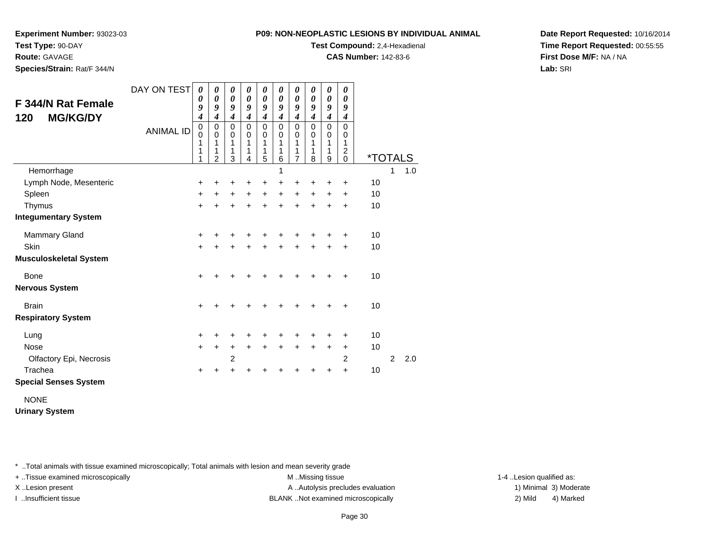**Experiment Number:** 93023-03

**Test Type:** 90-DAY

**Route:** GAVAGE

**Species/Strain:** Rat/F 344/N

**Test Compound:** 2,4-Hexadienal

**CAS Number:** 142-83-6

**Date Report Requested:** 10/16/2014**Time Report Requested:** 00:55:55**First Dose M/F:** NA / NA**Lab:** SRI

| <b>F 344/N Rat Female</b><br><b>MG/KG/DY</b><br>120 | DAY ON TEST<br><b>ANIMAL ID</b> | $\boldsymbol{\theta}$<br>0<br>9<br>$\boldsymbol{4}$<br>$\begin{smallmatrix}0\0\0\end{smallmatrix}$<br>1<br>1<br>1 | 0<br>0<br>9<br>$\overline{\boldsymbol{4}}$<br>0<br>$\mathbf 0$<br>1<br>1<br>$\overline{2}$ | 0<br>$\boldsymbol{\theta}$<br>9<br>$\boldsymbol{4}$<br>0<br>$\mathbf 0$<br>1<br>1<br>3 | 0<br>$\boldsymbol{\theta}$<br>9<br>$\boldsymbol{4}$<br>$\mathbf 0$<br>$\mathbf 0$<br>1<br>1<br>4 | 0<br>0<br>9<br>$\boldsymbol{4}$<br>$\mathbf 0$<br>$\mathbf 0$<br>1<br>1<br>5 | 0<br>0<br>9<br>$\boldsymbol{4}$<br>$\mathbf 0$<br>$\mathbf 0$<br>1<br>1<br>6 | 0<br>0<br>9<br>$\boldsymbol{4}$<br>0<br>0<br>1<br>1<br>7 | 0<br>0<br>9<br>$\boldsymbol{4}$<br>$\mathbf 0$<br>$\mathbf 0$<br>$\mathbf{1}$<br>1<br>8 | 0<br>0<br>9<br>$\boldsymbol{4}$<br>$\mathbf 0$<br>$\mathbf 0$<br>1<br>1<br>9 | 0<br>0<br>9<br>$\boldsymbol{4}$<br>0<br>$\mathbf 0$<br>1<br>$\overline{c}$<br>0 | <i><b>*TOTALS</b></i> |                |     |
|-----------------------------------------------------|---------------------------------|-------------------------------------------------------------------------------------------------------------------|--------------------------------------------------------------------------------------------|----------------------------------------------------------------------------------------|--------------------------------------------------------------------------------------------------|------------------------------------------------------------------------------|------------------------------------------------------------------------------|----------------------------------------------------------|-----------------------------------------------------------------------------------------|------------------------------------------------------------------------------|---------------------------------------------------------------------------------|-----------------------|----------------|-----|
| Hemorrhage                                          |                                 |                                                                                                                   |                                                                                            |                                                                                        |                                                                                                  |                                                                              | 1                                                                            |                                                          |                                                                                         |                                                                              |                                                                                 |                       | 1              | 1.0 |
| Lymph Node, Mesenteric                              |                                 | $\ddot{}$                                                                                                         | +                                                                                          | +                                                                                      | +                                                                                                | +                                                                            | +                                                                            | +                                                        | +                                                                                       | +                                                                            | +                                                                               | 10                    |                |     |
| Spleen                                              |                                 | $\ddot{}$                                                                                                         | ٠                                                                                          | +                                                                                      | +                                                                                                | +                                                                            | +                                                                            | +                                                        | +                                                                                       | +                                                                            | +                                                                               | 10                    |                |     |
| Thymus                                              |                                 | $+$                                                                                                               | $\ddot{}$                                                                                  | $\ddot{}$                                                                              | $\ddot{}$                                                                                        | $\ddot{}$                                                                    | $\ddot{}$                                                                    | $\ddot{}$                                                | $\ddot{}$                                                                               | $\ddot{}$                                                                    | $\ddot{}$                                                                       | 10                    |                |     |
| <b>Integumentary System</b>                         |                                 |                                                                                                                   |                                                                                            |                                                                                        |                                                                                                  |                                                                              |                                                                              |                                                          |                                                                                         |                                                                              |                                                                                 |                       |                |     |
| <b>Mammary Gland</b>                                |                                 | +                                                                                                                 |                                                                                            |                                                                                        |                                                                                                  |                                                                              |                                                                              | +                                                        |                                                                                         | +                                                                            | ٠                                                                               | 10                    |                |     |
| <b>Skin</b>                                         |                                 | $\ddot{}$                                                                                                         |                                                                                            | $\ddot{}$                                                                              |                                                                                                  | $\ddot{}$                                                                    | $\ddot{}$                                                                    | $\ddot{}$                                                | $\ddot{}$                                                                               | $\ddot{}$                                                                    | $\ddot{}$                                                                       | 10                    |                |     |
| <b>Musculoskeletal System</b>                       |                                 |                                                                                                                   |                                                                                            |                                                                                        |                                                                                                  |                                                                              |                                                                              |                                                          |                                                                                         |                                                                              |                                                                                 |                       |                |     |
| Bone                                                |                                 | $\ddot{}$                                                                                                         |                                                                                            |                                                                                        |                                                                                                  |                                                                              |                                                                              | +                                                        | +                                                                                       | ÷                                                                            | +                                                                               | 10                    |                |     |
| <b>Nervous System</b>                               |                                 |                                                                                                                   |                                                                                            |                                                                                        |                                                                                                  |                                                                              |                                                                              |                                                          |                                                                                         |                                                                              |                                                                                 |                       |                |     |
| <b>Brain</b>                                        |                                 | $\ddot{}$                                                                                                         |                                                                                            |                                                                                        |                                                                                                  |                                                                              | +                                                                            | +                                                        | +                                                                                       |                                                                              | +                                                                               | 10                    |                |     |
| <b>Respiratory System</b>                           |                                 |                                                                                                                   |                                                                                            |                                                                                        |                                                                                                  |                                                                              |                                                                              |                                                          |                                                                                         |                                                                              |                                                                                 |                       |                |     |
| Lung                                                |                                 | $\pm$                                                                                                             |                                                                                            |                                                                                        |                                                                                                  |                                                                              |                                                                              |                                                          |                                                                                         |                                                                              | ٠                                                                               | 10                    |                |     |
| <b>Nose</b>                                         |                                 | $\ddot{}$                                                                                                         | $\ddot{}$                                                                                  | +                                                                                      | $\div$                                                                                           | $\ddot{}$                                                                    | $\ddot{}$                                                                    | $\ddot{}$                                                | $\ddot{}$                                                                               | $\ddot{}$                                                                    | $\pm$                                                                           | 10                    |                |     |
| Olfactory Epi, Necrosis                             |                                 |                                                                                                                   |                                                                                            | $\overline{2}$                                                                         |                                                                                                  |                                                                              |                                                                              |                                                          |                                                                                         |                                                                              | 2                                                                               |                       | $\overline{2}$ | 2.0 |
| Trachea                                             |                                 | ٠                                                                                                                 |                                                                                            | +                                                                                      |                                                                                                  |                                                                              |                                                                              |                                                          |                                                                                         | +                                                                            | +                                                                               | 10                    |                |     |
| <b>Special Senses System</b>                        |                                 |                                                                                                                   |                                                                                            |                                                                                        |                                                                                                  |                                                                              |                                                                              |                                                          |                                                                                         |                                                                              |                                                                                 |                       |                |     |

NONE

**Urinary System**

\* ..Total animals with tissue examined microscopically; Total animals with lesion and mean severity grade

+ ..Tissue examined microscopically examined microscopically examined as:  $M$  ..Missing tissue 1-4 ..Lesion qualified as:

X..Lesion present **A ..Autolysis precludes evaluation** A ..Autolysis precludes evaluation 1) Minimal 3) Moderate I ..Insufficient tissue BLANK ..Not examined microscopically 2) Mild 4) Marked